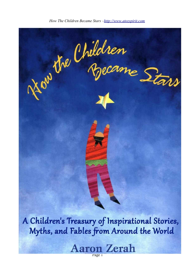

*How The Children Became Stars [–http://www.atozspirit.com](http://www.atozspirit.com/)*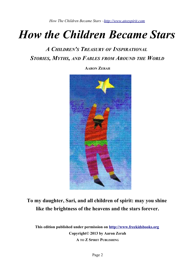# *How the Children Became Stars*

#### *A CHILDREN'S TREASURY OF INSPIRATIONAL STORIES, MYTHS, AND FABLES FROM AROUND THE WORLD*

**AARON ZERAH**



**To my daughter, Sari, and all children of spirit: may you shine like the brightness of the heavens and the stars forever.**

**This edition published under permission on [http://www.freekidsbooks.org](http://www.freekidsbooks.org/) Copyright© 2013 by Aaron Zerah A TO Z SPIRIT PUBLISHING**

**★**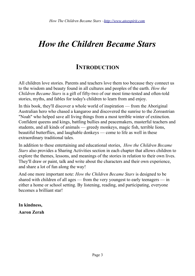### *How the Children Became Stars*

#### **INTRODUCTION**

All children love stories. Parents and teachers love them too because they connect us to the wisdom and beauty found in all cultures and peoples of the earth. *How the Children Became Stars* is a gift of fifty-two of our most time-tested and often-told stories, myths, and fables for today's children to learn from and enjoy.

In this book, they'll discover a whole world of inspiration — from the Aboriginal Australian hero who chased a kangaroo and discovered the sunrise to the Zoroastrian "Noah" who helped save all living things from a most terrible winter of extinction. Confident queens and kings, battling bullies and peacemakers, masterful teachers and students, and all kinds of animals — greedy monkeys, magic fish, terrible lions, beautiful butterflies, and laughable donkeys — come to life as well in these extraordinary traditional tales.

In addition to these entertaining and educational stories, *How the Children Became Stars* also provides a Sharing Activities section in each chapter that allows children to explore the themes, lessons, and meanings of the stories in relation to their own lives. They'll draw or paint, talk and write about the characters and their own experience, and share a lot of fun along the way!

And one more important note: *How the Children Became Stars* is designed to be shared with children of all ages — from the very youngest to early teenagers — in either a home or school setting. By listening, reading, and participating, everyone becomes a brilliant star!

**In kindness, Aaron Zerah**

**★**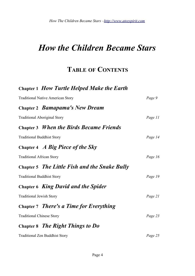**【** 

### *How the Children Became Stars*

#### **TABLE OF CONTENTS**

|                                             | Chapter 1 How Turtle Helped Make the Earth     |         |
|---------------------------------------------|------------------------------------------------|---------|
|                                             | <b>Traditional Native American Story</b>       | Page 9  |
|                                             | Chapter 2 Bamapama's New Dream                 |         |
|                                             | <b>Traditional Aboriginal Story</b>            | Page 11 |
|                                             | <b>Chapter 3</b> When the Birds Became Friends |         |
| <b>Traditional Buddhist Story</b>           |                                                | Page 14 |
|                                             | Chapter 4 A Big Piece of the Sky               |         |
| <b>Traditional African Story</b>            |                                                | Page 16 |
|                                             | Chapter 5 The Little Fish and the Snake Bully  |         |
| <b>Traditional Buddhist Story</b>           |                                                | Page 19 |
|                                             | <b>Chapter 6 King David and the Spider</b>     |         |
| <b>Traditional Jewish Story</b>             |                                                | Page 21 |
|                                             | Chapter 7 <i>There's a Time for Everything</i> |         |
| <b>Traditional Chinese Story</b><br>Page 23 |                                                |         |
|                                             | Chapter 8 <i>The Right Things to Do</i>        |         |
|                                             | <b>Traditional Zen Buddhist Story</b>          | Page 25 |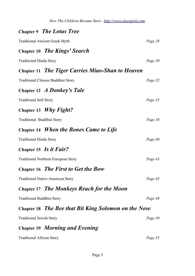|                                   | Chapter 9 <i>The Lotus Tree</i>                             |         |
|-----------------------------------|-------------------------------------------------------------|---------|
|                                   | <b>Traditional Ancient Greek Myth</b>                       | Page 28 |
|                                   | <b>Chapter 10 The Kings' Search</b>                         |         |
| <b>Traditional Hindu Story</b>    |                                                             | Page 30 |
|                                   | Chapter 11 The Tiger Carries Miao-Shan to Heaven            |         |
|                                   | <b>Traditional Chinese Buddhist Story</b>                   | Page 32 |
|                                   | Chapter 12 A Donkey's Tale                                  |         |
| <b>Traditional Sufi Story</b>     |                                                             | Page 35 |
|                                   | Chapter 13 <i>Why Fight?</i>                                |         |
| <b>Traditional Buddhist Story</b> |                                                             | Page 38 |
|                                   | Chapter 14 <i>When the Bones Came to Life</i>               |         |
| <b>Traditional Hindu Story</b>    |                                                             | Page 40 |
|                                   | Chapter 15 Is it Fair?                                      |         |
|                                   | <b>Traditional Northern European Story</b>                  | Page 43 |
|                                   | Chapter 16 The First to Get the Bow                         |         |
|                                   | <b>Traditional Native American Story</b>                    | Page 45 |
|                                   | Chapter 17 <i>The Monkeys Reach for the Moon</i>            |         |
| <b>Traditional Buddhist Story</b> |                                                             | Page 48 |
|                                   | Chapter 18 <i>The Bee that Bit King Solomon on the Nose</i> |         |
| <b>Traditional Jewish Story</b>   |                                                             | Page 50 |
|                                   | <b>Chapter 19 Morning and Evening</b>                       |         |
| <b>Traditional African Story</b>  |                                                             | Page 53 |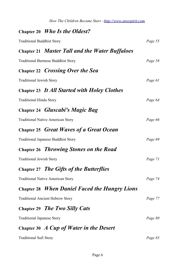### **Chapter 20** *Who Is the Oldest?* Traditional Buddhist Story *Page 55* **Chapter 21** *Master Tall and the Water Buffaloes* Traditional Burmese Buddhist Story *Page 58* **Chapter 22** *Crossing Over the Sea* Traditional Jewish Story *Page 61* **Chapter 23** *It All Started with Holey Clothes* Traditional Hindu Story *Page 64* **Chapter 24** *Gluscabi's Magic Bag* Traditional Native American Story *Page 66* **Chapter 25** *Great Waves of a Great Ocean* Traditional Japanese Buddhist Story *Page 69* **Chapter 26** *Throwing Stones on the Road* Traditional Jewish Story *Page 71* **Chapter 27** *The Gifts of the Butterflies* Traditional Native American Story *Page 74* **Chapter 28** *When Daniel Faced the Hungry Lions* Traditional Ancient Hebrew Story *Page 77* **Chapter 29** *The Two Silly Cats* Traditional Japanese Story *Page 80* **Chapter 30** *A Cup of Water in the Desert* Traditional Sufi Story *Page 83*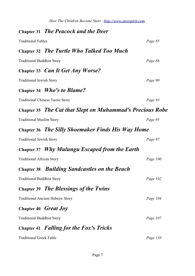|                                   | <b>Chapter 31 The Peacock and the Deer</b>                |            |
|-----------------------------------|-----------------------------------------------------------|------------|
| <b>Traditional Fables</b>         |                                                           | Page 85    |
|                                   | Chapter 32 The Turtle Who Talked Too Much                 |            |
| <b>Traditional Buddhist Story</b> |                                                           | Page 88    |
|                                   | Chapter 33 Can It Get Any Worse?                          |            |
| <b>Traditional Jewish Story</b>   |                                                           | Page 90    |
|                                   | Chapter 34 <i>Who's to Blame?</i>                         |            |
|                                   | <b>Traditional Chinese Taoist Story</b>                   | Page 93    |
|                                   | Chapter 35 The Cat that Slept on Muhammad's Precious Robe |            |
| <b>Traditional Muslim Story</b>   |                                                           | Page 95    |
|                                   | <b>Chapter 36 The Silly Shoemaker Finds His Way Home</b>  |            |
| <b>Traditional Jewish Story</b>   |                                                           | Page 97    |
| <b>Chapter 37</b>                 | Why Mulungu Escaped from the Earth                        |            |
| <b>Traditional African Story</b>  |                                                           | Page $100$ |
| <b>Chapter 38</b>                 | <b>Building Sandcastles on the Beach</b>                  |            |
| <b>Traditional Buddhist Story</b> |                                                           | Page 102   |
|                                   | Chapter 39 The Blessings of the Twins                     |            |
|                                   | <b>Traditional Ancient Hebrew Story</b>                   | Page 104   |
|                                   | Chapter 40 Great Joy                                      |            |
| <b>Traditional Buddhist Story</b> |                                                           | Page 107   |
|                                   | Chapter 41 Falling for the Fox's Tricks                   |            |
| <b>Traditional Greek Fable</b>    |                                                           | Page 110   |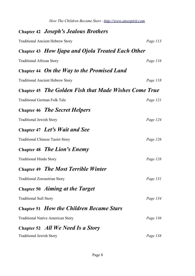|                                      | <b>Chapter 42 Joseph's Jealous Brothers</b>              |          |
|--------------------------------------|----------------------------------------------------------|----------|
|                                      | <b>Traditional Ancient Hebrew Story</b>                  | Page 113 |
|                                      | Chapter 43 <i>How Ijapa and Ojola Treated Each Other</i> |          |
| <b>Traditional African Story</b>     |                                                          | Page 116 |
|                                      | Chapter 44 On the Way to the Promised Land               |          |
|                                      | <b>Traditional Ancient Hebrew Story</b>                  | Page 118 |
|                                      | Chapter 45 The Golden Fish that Made Wishes Come True    |          |
| <b>Traditional German Folk Tale</b>  |                                                          | Page 121 |
|                                      | <b>Chapter 46 The Secret Helpers</b>                     |          |
| <b>Traditional Jewish Story</b>      |                                                          | Page 124 |
|                                      | Chapter 47 Let's Wait and See                            |          |
|                                      | <b>Traditional Chinese Taoist Story</b>                  | Page 126 |
|                                      | <b>Chapter 48 The Lion's Enemy</b>                       |          |
| <b>Traditional Hindu Story</b>       |                                                          | Page 128 |
|                                      | <b>Chapter 49 The Most Terrible Winter</b>               |          |
| <b>Traditional Zoroastrian Story</b> |                                                          | Page 131 |
|                                      | <b>Chapter 50 Aiming at the Target</b>                   |          |
| <b>Traditional Sufi Story</b>        |                                                          | Page 134 |
|                                      | <b>Chapter 51 How the Children Became Stars</b>          |          |
|                                      | <b>Traditional Native American Story</b>                 | Page 136 |
|                                      | Chapter 52 All We Need Is a Story                        |          |
| <b>Traditional Jewish Story</b>      |                                                          | Page 138 |

*How The Children Became Stars [–http://www.atozspirit.com](http://www.atozspirit.com/)*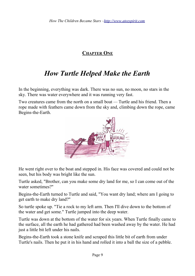

**+** 

### *How Turtle Helped Make the Earth*

In the beginning, everything was dark. There was no sun, no moon, no stars in the sky. There was water everywhere and it was running very fast.

Two creatures came from the north on a small boat *—* Turtle and his friend. Then a rope made with feathers came down from the sky and, climbing down the rope, came Begins-the-Earth.



He went right over to the boat and stepped in. His face was covered and could not be seen, but his body was bright like the sun.

Turtle asked, "Brother, can you make some dry land for me, so I can come out of the water sometimes?"

Begins-the-Earth turned to Turtle and said, "You want dry land; where am I going to get earth to make dry land?"

So turtle spoke up. "Tie a rock to my left arm. Then I'll dive down to the bottom of the water and get some." Turtle jumped into the deep water.

Turtle was down at the bottom of the water for six years. When Turtle finally came to the surface, all the earth he had gathered had been washed away by the water. He had just a little bit left under his nails.

Begins-the-Earth took a stone knife and scraped this little bit of earth from under Turtle's nails. Then he put it in his hand and rolled it into a ball the size of a pebble.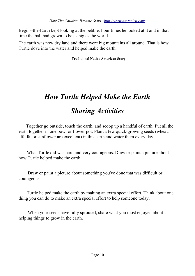Begins-the-Earth kept looking at the pebble. Four times he looked at it and in that time the ball had grown to be as big as the world.

The earth was now dry land and there were big mountains all around. That is how Turtle dove into the water and helped make the earth.

**- Traditional Native American Story**

**★**

## *How Turtle Helped Make the Earth*

#### *Sharing Activities*

 $\Box$  Together go outside, touch the earth, and scoop up a handful of earth. Put all the earth together in one bowl or flower pot. Plant a few quick-growing seeds (wheat, alfalfa, or sunflower are excellent) in this earth and water them every day.

 $\Box$  What Turtle did was hard and very courageous. Draw or paint a picture about how Turtle helped make the earth.

 $\Box$  Draw or paint a picture about something you've done that was difficult or courageous.

 $\Box$  Turtle helped make the earth by making an extra special effort. Think about one thing you can do to make an extra special effort to help someone today.

 $\Box$  When your seeds have fully sprouted, share what you most enjoyed about helping things to grow in the earth.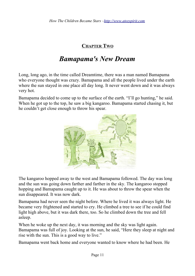#### **CHAPTER TWO**

#### *Bamapama's New Dream*

Long, long ago, in the time called Dreamtime, there was a man named Bamapama who everyone thought was crazy. Bamapama and all the people lived under the earth where the sun stayed in one place all day long. It never went down and it was always very hot.

Bamapama decided to come up to the surface of the earth. "I'll go hunting," he said. When he got up to the top, he saw a big kangaroo. Bamapama started chasing it, but he couldn't get close enough to throw his spear.



The kangaroo hopped away to the west and Bamapama followed. The day was long and the sun was going down farther and farther in the sky. The kangaroo stopped hopping and Bamapama caught up to it. He was about to throw the spear when the sun disappeared. It was now dark.

Bamapama had never seen the night before. Where he lived it was always light. He became very frightened and started to cry. He climbed a tree to see if he could find light high above, but it was dark there, too. So he climbed down the tree and fell asleep.

When he woke up the next day, it was morning and the sky was light again. Bamapama was full of joy. Looking at the sun, he said, "Here they sleep at night and rise with the sun. This is a good way to live."

Bamapama went back home and everyone wanted to know where he had been. He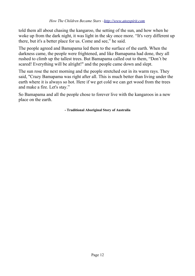told them all about chasing the kangaroo, the setting of the sun, and how when he woke up from the dark night, it was light in the sky once more. "It's very different up there, but it's a better place for us. Come and see," he said.

The people agreed and Bamapama led them to the surface of the earth. When the darkness came, the people were frightened, and like Bamapama had done, they all rushed to climb up the tallest trees. But Bamapama called out to them, "Don't be scared! Everything will be alright!" and the people came down and slept.

The sun rose the next morning and the people stretched out in its warm rays. They said, "Crazy Bamapama was right after all. This is much better than living under the earth where it is always so hot. Here if we get cold we can get wood from the trees and make a fire. Let's stay."

So Bamapama and all the people chose to forever live with the kangaroos in a new place on the earth.

**- Traditional Aboriginal Story of Australia**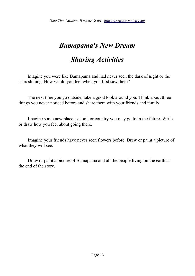### *Bamapama's New Dream*

### *Sharing Activities*

 $\Box$  Imagine you were like Bamapama and had never seen the dark of night or the stars shining. How would you feel when you first saw them?

 $\Box$  The next time you go outside, take a good look around you. Think about three things you never noticed before and share them with your friends and family.

 $\Box$  Imagine some new place, school, or country you may go to in the future. Write or draw how you feel about going there.

 $\Box$  Imagine your friends have never seen flowers before. Draw or paint a picture of what they will see.

 $\Box$  Draw or paint a picture of Bamapama and all the people living on the earth at the end of the story.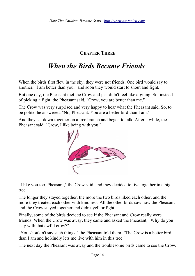#### **CHAPTER THREE**

#### *When the Birds Became Friends*

When the birds first flew in the sky, they were not friends. One bird would say to another, "I am better than you," and soon they would start to shout and fight.

But one day, the Pheasant met the Crow and just didn't feel like arguing. So, instead of picking a fight, the Pheasant said, "Crow, you are better than me."

The Crow was very surprised and very happy to hear what the Pheasant said. So, to be polite, he answered, "No, Pheasant. You are a better bird than I am."

And they sat down together on a tree branch and began to talk. After a while, the Pheasant said, "Crow, I like being with you."



"I like you too, Pheasant," the Crow said, and they decided to live together in a big tree.

The longer they stayed together, the more the two birds liked each other, and the more they treated each other with kindness. All the other birds saw how the Pheasant and the Crow stayed together and didn't yell or fight.

Finally, some of the birds decided to see if the Pheasant and Crow really were friends. When the Crow was away, they came and asked the Pheasant, "Why do you stay with that awful crow?"

"You shouldn't say such things," the Pheasant told them. "The Crow is a better bird than I am and he kindly lets me live with him in this tree."

The next day the Pheasant was away and the troublesome birds came to see the Crow.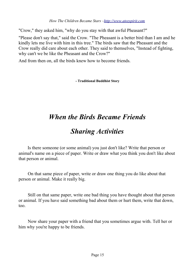*How The Children Became Stars [–http://www.atozspirit.com](http://www.atozspirit.com/)*

"Crow," they asked him, "why do you stay with that awful Pheasant?"

"Please don't say that," said the Crow. "The Pheasant is a better bird than I am and he kindly lets me live with him in this tree." The birds saw that the Pheasant and the Crow really did care about each other. They said to themselves, "Instead of fighting, why can't we be like the Pheasant and the Crow?"

And from then on, all the birds knew how to become friends.

**- Traditional Buddhist Story**

**★**

### *When the Birds Became Friends*

### *Sharing Activities*

 $\Box$  Is there someone (or some animal) you just don't like? Write that person or animal's name on a piece of paper. Write or draw what you think you don't like about that person or animal.

 $\Box$  On that same piece of paper, write or draw one thing you do like about that person or animal. Make it really big.

 $\Box$  Still on that same paper, write one bad thing you have thought about that person or animal. If you have said something bad about them or hurt them, write that down, too.

 $\Box$  Now share your paper with a friend that you sometimes argue with. Tell her or him why you're happy to be friends.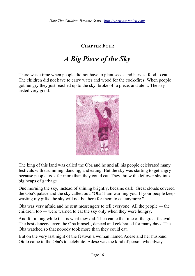#### **CHAPTER FOUR**

#### *A Big Piece of the Sky*

There was a time when people did not have to plant seeds and harvest food to eat. The children did not have to carry water and wood for the cook-fires. When people got hungry they just reached up to the sky, broke off a piece, and ate it. The sky tasted very good.



The king of this land was called the Oba and he and all his people celebrated many festivals with drumming, dancing, and eating. But the sky was starting to get angry because people took far more than they could eat. They threw the leftover sky into big heaps of garbage.

One morning the sky, instead of shining brightly, became dark. Great clouds covered the Oba's palace and the sky called out, "Oba! I am warning you. If your people keep wasting my gifts, the sky will not be there for them to eat anymore."

Oba was very afraid and he sent messengers to tell everyone. All the people *—* the children, too *—* were warned to eat the sky only when they were hungry.

And for a long while that is what they did. Then came the time of the great festival. The best dancers, even the Oba himself, danced and celebrated for many days. The Oba watched so that nobody took more than they could eat.

But on the very last night of the festival a woman named Adese and her husband Otolo came to the Oba's to celebrate. Adese was the kind of person who always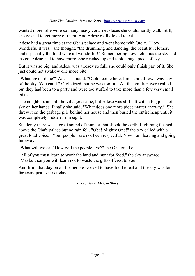wanted more. She wore so many heavy coral necklaces she could hardly walk. Still, she wished to get more of them. And Adese really loved to eat.

Adese had a great time at the Oba's palace and went home with Otolo. "How wonderful it was," she thought, "the drumming and dancing, the beautiful clothes, and especially the food were all wonderful!" Remembering how delicious the sky had tasted, Adese had to have more. She reached up and took a huge piece of sky.

But it was so big, and Adese was already so full, she could only finish part of it. She just could not swallow one more bite.

"What have I done?" Adese shouted. "Otolo, come here. I must not throw away any of the sky. You eat it." Otolo tried, but he was too full. All the children were called but they had been to a party and were too stuffed to take more than a few very small bites.

The neighbors and all the villagers came, but Adese was still left with a big piece of sky on her hands. Finally she said, "What does one more piece matter anyway?" She threw it on the garbage pile behind her house and then buried the entire heap until it was completely hidden from sight.

Suddenly there was a great sound of thunder that shook the earth. Lightning flashed above the Oba's palace but no rain fell. "Oba! Mighty One!" the sky called with a great loud voice. "Your people have not been respectful. Now I am leaving and going far away."

"What will we eat? How will the people live?" the Oba cried out.

"All of you must learn to work the land and hunt for food," the sky answered. "Maybe then you will learn not to waste the gifts offered to you."

And from that day on all the people worked to have food to eat and the sky was far, far away just as it is today.

**- Traditional African Story**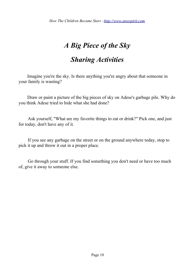**【** 

### *A Big Piece of the Sky*

### *Sharing Activities*

 $\Box$  Imagine you're the sky. Is there anything you're angry about that someone in your family is wasting?

 $\Box$  Draw or paint a picture of the big pieces of sky on Adese's garbage pile. Why do you think Adese tried to hide what she had done?

 $\Box$  Ask yourself, "What are my favorite things to eat or drink?" Pick one, and just for today, don't have any of it.

 $\Box$  If you see any garbage on the street or on the ground anywhere today, stop to pick it up and throw it out in a proper place.

 $\Box$  Go through your stuff. If you find something you don't need or have too much of, give it away to someone else.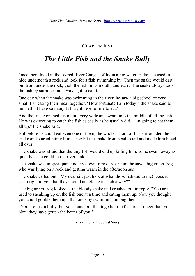#### **CHAPTER FIVE**

### *The Little Fish and the Snake Bully*

Once there lived in the sacred River Ganges of India a big water snake. He used to hide underneath a rock and look for a fish swimming by. Then the snake would dart out from under the rock, grab the fish in its mouth, and eat it. The snake always took the fish by surprise and always got to eat it.

One day when the snake was swimming in the river, he saw a big school of very small fish eating their meal together. "How fortunate I am today!" the snake said to himself. "I have so many fish right here for me to eat."

And the snake opened his mouth very wide and swam into the middle of all the fish. He was expecting to catch the fish as easily as he usually did. "I'm going to eat them all up," the snake said.

But before he could eat even one of them, the whole school of fish surrounded the snake and started biting him. They bit the snake from head to tail and made him bleed all over.

The snake was afraid that the tiny fish would end up killing him, so he swam away as quickly as he could to the riverbank.

The snake was in great pain and lay down to rest. Near him, he saw a big green frog who was lying on a rock and getting warm in the afternoon sun.

The snake called out, "My dear sir, just look at what those fish did to me! Does it seem right to you that they should attack me in such a way?"

The big green frog looked at the bloody snake and croaked out in reply, "You are used to sneaking up on the fish one at a time and eating them up. Now you thought you could gobble them up all at once by swimming among them.

"You are just a bully, but you found out that together the fish are stronger than you. Now they have gotten the better of you!"

#### **- Traditional Buddhist Story**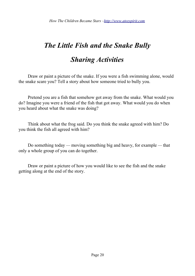# *The Little Fish and the Snake Bully*

#### *Sharing Activities*

■ Draw or paint a picture of the snake. If you were a fish swimming alone, would the snake scare you? Tell a story about how someone tried to bully you.

 $\Box$  Pretend you are a fish that somehow got away from the snake. What would you do? Imagine you were a friend of the fish that got away. What would you do when you heard about what the snake was doing?

 $\Box$  Think about what the frog said. Do you think the snake agreed with him? Do you think the fish all agreed with him?

■ Do something today — moving something big and heavy, for example — that only a whole group of you can do together.

 $\Box$  Draw or paint a picture of how you would like to see the fish and the snake getting along at the end of the story.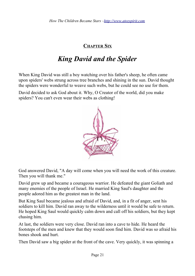#### **CHAPTER SIX**

### *King David and the Spider*

When King David was still a boy watching over his father's sheep, he often came upon spiders' webs strung across tree branches and shining in the sun. David thought the spiders were wonderful to weave such webs, but he could see no use for them.

David decided to ask God about it. Why, O Creator of the world, did you make spiders? You can't even wear their webs as clothing!



God answered David, "A day will come when you will need the work of this creature. Then you will thank me."

David grew up and became a courageous warrior. He defeated the giant Goliath and many enemies of the people of Israel. He married King Saul's daughter and the people adored him as the greatest man in the land.

But King Saul became jealous and afraid of David, and, in a fit of anger, sent his soldiers to kill him. David ran away to the wilderness until it would be safe to return. He hoped King Saul would quickly calm down and call off his soldiers, but they kept chasing him.

At last, the soldiers were very close. David ran into a cave to hide. He heard the footsteps of the men and knew that they would soon find him. David was so afraid his bones shook and hurt.

Then David saw a big spider at the front of the cave. Very quickly, it was spinning a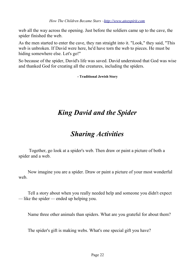web all the way across the opening. Just before the soldiers came up to the cave, the spider finished the web.

As the men started to enter the cave, they ran straight into it. "Look," they said, "This web is unbroken. If David were here, he'd have torn the web to pieces. He must be hiding somewhere else. Let's go!"

So because of the spider, David's life was saved. David understood that God was wise and thanked God for creating all the creatures, including the spiders.

**- Traditional Jewish Story**

**★**

### *King David and the Spider*

### *Sharing Activities*

 $\Box$  Together, go look at a spider's web. Then draw or paint a picture of both a spider and a web.

 $\Box$  Now imagine you are a spider. Draw or paint a picture of your most wonderful web.

 $\Box$  Tell a story about when you really needed help and someone you didn't expect *—* like the spider *—* ended up helping you.

 $\Box$  Name three other animals than spiders. What are you grateful for about them?

 $\Box$  The spider's gift is making webs. What's one special gift you have?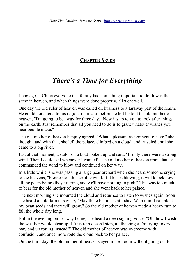#### **CHAPTER SEVEN**

#### *There's a Time for Everything*

Long ago in China everyone in a family had something important to do. It was the same in heaven, and when things were done properly, all went well.

One day the old ruler of heaven was called on business to a faraway part of the realm. He could not attend to his regular duties, so before he left he told the old mother of heaven, "I'm going to be away for three days. Now it's up to you to look after things on the earth. Just remember that all you need to do is to grant whatever wishes you hear people make."

The old mother of heaven happily agreed. "What a pleasant assignment to have," she thought, and with that, she left the palace, climbed on a cloud, and traveled until she came to a big river.

Just at that moment, a sailor on a boat looked up and said, "If only there were a strong wind. Then I could sail whenever I wanted!" The old mother of heaven immediately commanded the wind to blow and continued on her way.

In a little while, she was passing a large pear orchard when she heard someone crying to the heavens, "Please stop this terrible wind. If it keeps blowing, it will knock down all the pears before they are ripe, and we'll have nothing to pick." This was too much to bear for the old mother of heaven and she went back to her palace.

The next morning she mounted the cloud and returned to listen to wishes again. Soon she heard an old farmer saying, "May there be rain sent today. With rain, I can plant my bean seeds and they will grow." So the old mother of heaven made a heavy rain to fall the whole day long.

But in the evening on her way home, she heard a deep sighing voice. "Oh, how I wish the weather would clear up! If this rain doesn't stop, all the ginger I'm trying to dry may end up rotting instead!" The old mother of heaven was overcome with confusion, and once more rode the cloud back to her palace.

On the third day, the old mother of heaven stayed in her room without going out to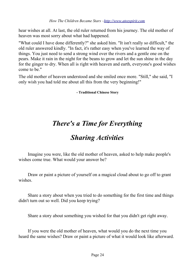hear wishes at all. At last, the old ruler returned from his journey. The old mother of heaven was most sorry about what had happened.

"What could I have done differently?" she asked him. "It isn't really so difficult," the old ruler answered kindly. "In fact, it's rather easy when you've learned the way of things. You just need to send a strong wind over the rivers and a gentle one on the pears. Make it rain in the night for the beans to grow and let the sun shine in the day for the ginger to dry. When all is right with heaven and earth, everyone's good wishes come to be."

The old mother of heaven understood and she smiled once more. "Still," she said, "I only wish you had told me about all this from the very beginning!"

**- Traditional Chinese Story**

### *There's a Time for Everything*

**★**

### *Sharing Activities*

 $\Box$  Imagine you were, like the old mother of heaven, asked to help make people's wishes come true. What would your answer be?

 $\Box$  Draw or paint a picture of yourself on a magical cloud about to go off to grant wishes.

 $\Box$  Share a story about when you tried to do something for the first time and things didn't turn out so well. Did you keep trying?

 $\Box$  Share a story about something you wished for that you didn't get right away.

 $\Box$  If you were the old mother of heaven, what would you do the next time you heard the same wishes? Draw or paint a picture of what it would look like afterward.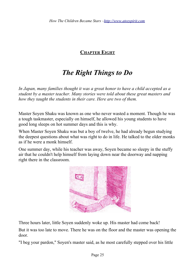#### **CHAPTER EIGHT**

### *The Right Things to Do*

*In Japan, many families thought it was a great honor to have a child accepted as a student by a master teacher. Many stories were told about these great masters and how they taught the students in their care. Here are two of them.*

Master Soyen Shaku was known as one who never wasted a moment. Though he was a tough taskmaster, especially on himself, he allowed his young students to have good long sleeps on hot summer days and this is why.

When Master Soyen Shaku was but a boy of twelve, he had already begun studying the deepest questions about what was right to do in life. He talked to the older monks as if he were a monk himself.

One summer day, while his teacher was away, Soyen became so sleepy in the stuffy air that he couldn't help himself from laying down near the doorway and napping right there in the classroom.



Three hours later, little Soyen suddenly woke up. His master had come back!

But it was too late to move. There he was on the floor and the master was opening the door.

"I beg your pardon," Soyen's master said, as he most carefully stepped over his little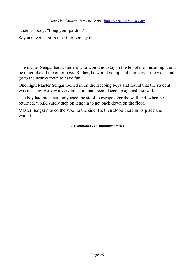student's body. "I beg your pardon."

Soyen never slept in the afternoon again.

#### $\blacksquare$

The master Sengai had a student who would not stay in the temple rooms at night and be quiet like all the other boys. Rather, he would get up and climb over the walls and go to the nearby town to have fun.

One night Master Sengai looked in on the sleeping boys and found that the student was missing. He saw a very tall stool had been placed up against the wall.

The boy had most certainly used the stool to escape over the wall and, when he returned, would surely step on it again to get back down on the floor.

Master Sengai moved the stool to the side. He then stood there in its place and waited.

**- Traditional Zen Buddhist Stories**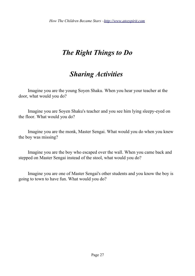### *The Right Things to Do*

#### *Sharing Activities*

■ Imagine you are the young Soyen Shaku. When you hear your teacher at the door, what would you do?

 $\Box$  Imagine you are Soyen Shaku's teacher and you see him lying sleepy-eyed on the floor. What would you do?

 $\Box$  Imagine you are the monk, Master Sengai. What would you do when you knew the boy was missing?

 $\Box$  Imagine you are the boy who escaped over the wall. When you came back and stepped on Master Sengai instead of the stool, what would you do?

 $\Box$  Imagine you are one of Master Sengai's other students and you know the boy is going to town to have fun. What would you do?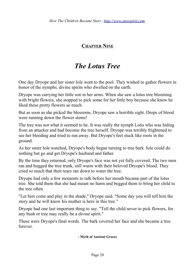#### **CHAPTER NINE**

#### *The Lotus Tree*

One day Dryope and her sister Iole went to the pool. They wished to gather flowers in honor of the nymphs, divine spirits who dwelled on the earth.

Dryope was carrying her little son in her arms. When she saw a lotus tree blooming with bright flowers, she stopped to pick some for her little boy because she knew he liked these pretty flowers so much.

But as soon as she picked the blossoms, Dryope saw a horrible sight. Drops of blood were running down the flower stems!

The tree was not what it seemed to be. It was really the nymph Lotis who was hiding from an attacker and had become the tree herself. Dryope was terribly frightened to see her bleeding and tried to run away. But Dryope's feet stuck like roots in the ground.

As her sister Iole watched, Dryope's body began turning to tree bark. Iole could do nothing but go and get Dryope's husband and father.

By the time they returned, only Dryope's face was not yet fully covered. The two men ran and hugged the tree trunk, still warm with their beloved Dryope's blood. They cried so much that their tears ran down to water the tree.

Dryope had only a few moments to talk before her mouth became part of the lotus tree. She told them that she had meant no harm and begged them to bring her child to the tree often.

"Let him come and play in the shade," Dryope said. "Some day you will tell him the story and he will know his mother is here in this tree."

Dryope had one last important thing to say. "Tell the child never to pick flowers, for any bush or tree may really be a divine spirit."

These were Dryope's final words. The bark covered her face and she became a tree forever.

#### **- Myth of Ancient Greece**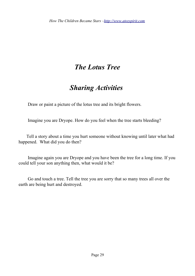#### *The Lotus Tree*

### *Sharing Activities*

 $\Box$  Draw or paint a picture of the lotus tree and its bright flowers.

 $\Box$  Imagine you are Dryope. How do you feel when the tree starts bleeding?

 $\Box$  Tell a story about a time you hurt someone without knowing until later what had happened. What did you do then?

 $\Box$  Imagine again you are Dryope and you have been the tree for a long time. If you could tell your son anything then, what would it be?

 $\Box$  Go and touch a tree. Tell the tree you are sorry that so many trees all over the earth are being hurt and destroyed.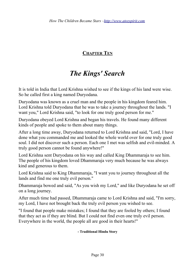**CHAPTER TEN**

### *The Kings' Search*

It is told in India that Lord Krishna wished to see if the kings of his land were wise. So he called first a king named Duryodana.

Duryodana was known as a cruel man and the people in his kingdom feared him. Lord Krishna told Duryodana that he was to take a journey throughout the lands. "I want you," Lord Krishna said, "to look for one truly good person for me."

Duryodana obeyed Lord Krishna and began his travels. He found many different kinds of people and spoke to them about many things.

After a long time away, Duryodana returned to Lord Krishna and said, "Lord, I have done what you commanded me and looked the whole world over for one truly good soul. I did not discover such a person. Each one I met was selfish and evil-minded. A truly good person cannot be found anywhere!"

Lord Krishna sent Duryodana on his way and called King Dhammaraja to see him. The people of his kingdom loved Dhammaraja very much because he was always kind and generous to them.

Lord Krishna said to King Dhammaraja, "I want you to journey throughout all the lands and find me one truly evil person."

Dhammaraja bowed and said, "As you wish my Lord," and like Duryodana he set off on a long journey.

After much time had passed, Dhammaraja came to Lord Krishna and said, "I'm sorry, my Lord, I have not brought back the truly evil person you wished to see.

"I found that people make mistakes; I found that they are fooled by others; I found that they act as if they are blind. But I could not find even one truly evil person. Everywhere in the world, the people all are good in their hearts!"

#### **- Traditional Hindu Story**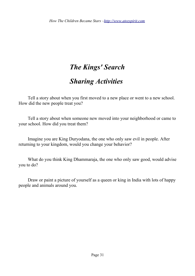#### *The Kings' Search*

#### *Sharing Activities*

 $\Box$  Tell a story about when you first moved to a new place or went to a new school. How did the new people treat you?

 $\Box$  Tell a story about when someone new moved into your neighborhood or came to your school. How did you treat them?

 $\Box$  Imagine you are King Duryodana, the one who only saw evil in people. After returning to your kingdom, would you change your behavior?

 $\Box$  What do you think King Dhammaraja, the one who only saw good, would advise you to do?

 $\Box$  Draw or paint a picture of yourself as a queen or king in India with lots of happy people and animals around you.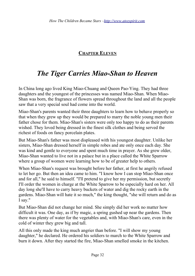**CHAPTER ELEVEN**

#### *The Tiger Carries Miao-Shan to Heaven*

In China long ago lived King Miao-Chuang and Queen Pao-Ying. They had three daughters and the youngest of the princesses was named Miao-Shan. When Miao-Shan was born, the fragrance of flowers spread throughout the land and all the people saw that a very special soul had come into the world.

Miao-Shan's parents wanted their three daughters to learn how to behave properly so that when they grew up they would be prepared to marry the noble young men their father chose for them. Miao-Shan's sisters were only too happy to do as their parents wished. They loved being dressed in the finest silk clothes and being served the richest of foods on fancy porcelain plates.

But Miao-Shan's father was most displeased with his youngest daughter. Unlike her sisters, Miao-Shan dressed herself in simple robes and ate only once each day. She was kind and gentle to everyone and spent much time in prayer. As she grew older, Miao-Shan wanted to live not in a palace but in a place called the White Sparrow where a group of women were learning how to be of greater help to others.

When Miao-Shan's request was brought before her father, at first he angrily refused to let her go. But then an idea came to him. "I know how I can stop Miao-Shan once and for all," he said to himself. "I'll pretend to give her my permission, but secretly I'll order the women in charge at the White Sparrow to be especially hard on her. All day long she'll have to carry heavy buckets of water and dig the rocky earth in the gardens. Miao-Shan will hate it so much," the king thought, "she will return and do as I say."

But Miao-Shan did not change her mind. She simply did her work no matter how difficult it was. One day, as if by magic, a spring gushed up near the gardens. Then there was plenty of water for the vegetables and, with Miao-Shan's care, even in the cold of winter they grew big and tall.

All this only made the king much angrier than before. "I will show my young daughter," he declared. He ordered his soldiers to march to the White Sparrow and burn it down. After they started the fire, Miao-Shan smelled smoke in the kitchen.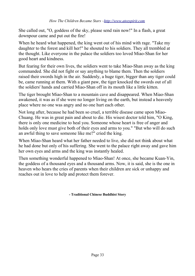She called out, "O, goddess of the sky, please send rain now!" In a flash, a great downpour came and put out the fire!

When he heard what happened, the king went out of his mind with rage. "Take my daughter to the forest and kill her!" he shouted to his soldiers. They all trembled at the thought. Like everyone in the palace the soldiers too loved Miao-Shan for her good heart and kindness.

But fearing for their own lives, the soldiers went to take Miao-Shan away as the king commanded. She did not fight or say anything to blame them. Then the soldiers raised their swords high in the air. Suddenly, a huge tiger, bigger than any tiger could be, came running at them. With a giant paw, the tiger knocked the swords out of all the soldiers' hands and carried Miao-Shan off in its mouth like a little kitten.

The tiger brought Miao-Shan to a mountain cave and disappeared. When Miao-Shan awakened, it was as if she were no longer living on the earth, but instead a heavenly place where no one was angry and no one hurt each other.

Not long after, because he had been so cruel, a terrible disease came upon Miao-Chuang. He was in great pain and about to die. His wisest doctor told him, "O King, there is only one medicine to heal you. Someone whose heart is free of anger and holds only love must give both of their eyes and arms to you." "But who will do such an awful thing to save someone like me?" cried the king.

When Miao-Shan heard what her father needed to live, she did not think about what he had done but only of his suffering. She went to the palace right away and gave him her own eyes and arms and the king was instantly healed.

Then something wonderful happened to Miao-Shan! At once, she became Kuan-Yin, the goddess of a thousand eyes and a thousand arms. Now, it is said, she is the one in heaven who hears the cries of parents when their children are sick or unhappy and reaches out in love to help and protect them forever.

**- Traditional Chinese Buddhist Story**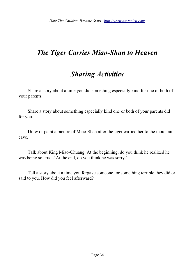**【** 

### *The Tiger Carries Miao-Shan to Heaven*

#### *Sharing Activities*

 $\Box$  Share a story about a time you did something especially kind for one or both of your parents.

 $\Box$  Share a story about something especially kind one or both of your parents did for you.

 $\Box$  Draw or paint a picture of Miao-Shan after the tiger carried her to the mountain cave.

 $\Box$  Talk about King Miao-Chuang. At the beginning, do you think he realized he was being so cruel? At the end, do you think he was sorry?

 $\Box$  Tell a story about a time you forgave someone for something terrible they did or said to you. How did you feel afterward?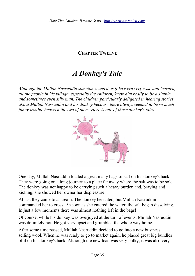#### **CHAPTER TWELVE**

#### *A Donkey's Tale*

*Although the Mullah Nasruddin sometimes acted as if he were very wise and learned, all the people in his village, especially the children, knew him really to be a simple and sometimes even silly man. The children particularly delighted in hearing stories about Mullah Nasruddin and his donkey because there always seemed to be so much funny trouble between the two of them. Here is one of those donkey's tales.*



One day, Mullah Nasruddin loaded a great many bags of salt on his donkey's back. They were going on a long journey to a place far away where the salt was to be sold. The donkey was not happy to be carrying such a heavy burden and, braying and kicking, she showed her owner her displeasure.

At last they came to a stream. The donkey hesitated, but Mullah Nasruddin commanded her to cross. As soon as she entered the water, the salt began dissolving. In just a few moments there was almost nothing left in the bags!

Of course, while his donkey was overjoyed at the turn of events, Mullah Nasruddin was definitely not. He got very upset and grumbled the whole way home.

After some time passed, Mullah Nasruddin decided to go into a new business  selling wool. When he was ready to go to market again, he placed great big bundles of it on his donkey's back. Although the new load was very bulky, it was also very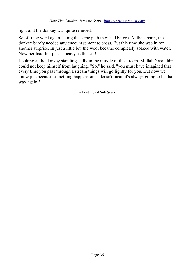light and the donkey was quite relieved.

So off they went again taking the same path they had before. At the stream, the donkey barely needed any encouragement to cross. But this time she was in for another surprise. In just a little bit, the wool became completely soaked with water. Now her load felt just as heavy as the salt!

Looking at the donkey standing sadly in the middle of the stream, Mullah Nasruddin could not keep himself from laughing. "So," he said, "you must have imagined that every time you pass through a stream things will go lightly for you. But now we know just because something happens once doesn't mean it's always going to be that way again!"

**- Traditional Sufi Story**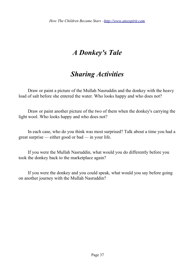# *A Donkey's Tale*

### *Sharing Activities*

 $\Box$  Draw or paint a picture of the Mullah Nasruddin and the donkey with the heavy load of salt before she entered the water. Who looks happy and who does not?

 $\Box$  Draw or paint another picture of the two of them when the donkey's carrying the light wool. Who looks happy and who does not?

 $\Box$  In each case, who do you think was most surprised? Talk about a time you had a great surprise *—* either good or bad *—* in your life.

 $\Box$  If you were the Mullah Nasruddin, what would you do differently before you took the donkey back to the marketplace again?

 $\Box$  If you were the donkey and you could speak, what would you say before going on another journey with the Mullah Nasruddin?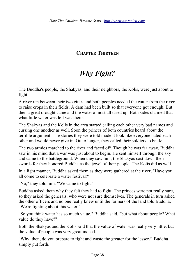**CHAPTER THIRTEEN**

### *Why Fight?*

The Buddha's people, the Shakyas, and their neighbors, the Kolis, were just about to fight.

A river ran between their two cities and both peoples needed the water from the river to raise crops in their fields. A dam had been built so that everyone got enough. But then a great drought came and the water almost all dried up. Both sides claimed that what little water was left was theirs.

The Shakyas and the Kolis in the area started calling each other very bad names and cursing one another as well. Soon the princes of both countries heard about the terrible argument. The stories they were told made it look like everyone hated each other and would never give in. Out of anger, they called their soldiers to battle.

The two armies marched to the river and faced off. Though he was far away, Buddha saw in his mind that a war was just about to begin. He sent himself through the sky and came to the battleground. When they saw him, the Shakyas cast down their swords for they honored Buddha as the jewel of their people. The Kolis did as well.

In a light manner, Buddha asked them as they were gathered at the river, "Have you all come to celebrate a water festival?"

"No," they told him. "We came to fight."

Buddha asked them why they felt they had to fight. The princes were not really sure, so they asked the generals, who were not sure themselves. The generals in turn asked the other officers and no one really knew until the farmers of the land told Buddha, "We're fighting about this water."

"So you think water has so much value," Buddha said, "but what about people? What value do they have?"

Both the Shakyas and the Kolis said that the value of water was really very little, but the value of people was very great indeed.

"Why, then, do you prepare to fight and waste the greater for the lesser?" Buddha simply put forth.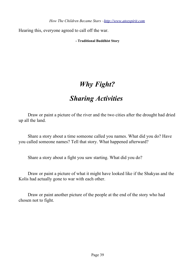Hearing this, everyone agreed to call off the war.

**- Traditional Buddhist Story**

# *Why Fight?*

**★**

# *Sharing Activities*

 $\Box$  Draw or paint a picture of the river and the two cities after the drought had dried up all the land.

 $\Box$  Share a story about a time someone called you names. What did you do? Have you called someone names? Tell that story. What happened afterward?

 $\Box$  Share a story about a fight you saw starting. What did you do?

 $\Box$  Draw or paint a picture of what it might have looked like if the Shakyas and the Kolis had actually gone to war with each other.

 $\Box$  Draw or paint another picture of the people at the end of the story who had chosen not to fight.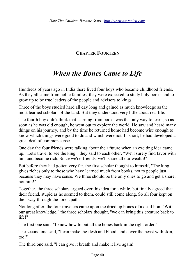**CHAPTER FOURTEEN**

### *When the Bones Came to Life*

Hundreds of years ago in India there lived four boys who became childhood friends. As they all came from noble families, they were expected to study holy books and to grow up to be true leaders of the people and advisors to kings.

Three of the boys studied hard all day long and gained as much knowledge as the most learned scholars of the land. But they understood very little about real life.

The fourth boy didn't think that learning from books was the only way to learn, so as soon as he was old enough, he went out to explore the world. He saw and heard many things on his journey, and by the time he returned home had become wise enough to know which things were good to do and which were not. In short, he had developed a great deal of common sense.

One day the four friends were talking about their future when an exciting idea came up. "Let's travel to see the king," they said to each other. "We'll surely find favor with him and become rich. Since we're friends, we'll share all our wealth!"

But before they had gotten very far, the first scholar thought to himself, "The king gives riches only to those who have learned much from books, not to people just because they may have sense. We three should be the only ones to go and get a share, not him!"

Together, the three scholars argued over this idea for a while, but finally agreed that their friend, stupid as he seemed to them, could still come along. So all four kept on their way through the forest path.

Not long after, the four travelers came upon the dried up bones of a dead lion. "With our great knowledge," the three scholars thought, "we can bring this creature back to life!"

The first one said, "I know how to put all the bones back in the right order."

The second one said, "I can make the flesh and blood, and cover the beast with skin, too!"

The third one said, "I can give it breath and make it live again!"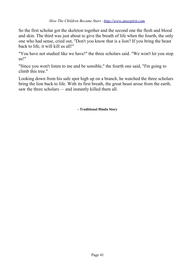So the first scholar got the skeleton together and the second one the flesh and blood and skin. The third was just about to give the breath of life when the fourth, the only one who had sense, cried out, "Don't you know that is a lion? If you bring the beast back to life, it will kill us all!"

"You have not studied like we have!" the three scholars said. "We won't let you stop us!"

"Since you won't listen to me and be sensible," the fourth one said, "I'm going to climb this tree."

Looking down from his safe spot high up on a branch, he watched the three scholars bring the lion back to life. With its first breath, the great beast arose from the earth, saw the three scholars *—* and instantly killed them all.

**- Traditional Hindu Story**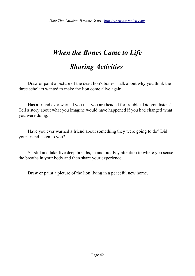# *When the Bones Came to Life*

### *Sharing Activities*

 $\Box$  Draw or paint a picture of the dead lion's bones. Talk about why you think the three scholars wanted to make the lion come alive again.

 $\Box$  Has a friend ever warned you that you are headed for trouble? Did you listen? Tell a story about what you imagine would have happened if you had changed what you were doing.

 $\Box$  Have you ever warned a friend about something they were going to do? Did your friend listen to you?

 $\Box$  Sit still and take five deep breaths, in and out. Pay attention to where you sense the breaths in your body and then share your experience.

 $\Box$  Draw or paint a picture of the lion living in a peaceful new home.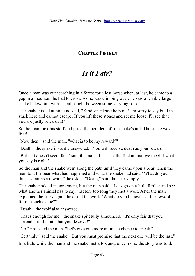### **CHAPTER FIFTEEN**

### *Is it Fair?*

Once a man was out searching in a forest for a lost horse when, at last, he came to a gap in a mountain he had to cross. As he was climbing over, he saw a terribly large snake below him with its tail caught between some very big rocks.

The snake hissed at him and said, "Kind sir, please help me! I'm sorry to say but I'm stuck here and cannot escape. If you lift these stones and set me loose, I'll see that you are justly rewarded!"

So the man took his staff and pried the boulders off the snake's tail. The snake was free!

"Now then," said the man, "what is to be my reward?"

"Death," the snake instantly answered. "You will receive death as your reward."

"But that doesn't seem fair," said the man. "Let's ask the first animal we meet if what you say is right."

So the man and the snake went along the path until they came upon a bear. Then the man told the bear what had happened and what the snake had said. "What do you think is fair as a reward?" he asked. "Death," said the bear simply.

The snake nodded in agreement, but the man said, "Let's go on a little further and see what another animal has to say." Before too long they met a wolf. After the man explained the story again, he asked the wolf, "What do you believe is a fair reward for one such as me?"

"Death," the wolf also answered.

"That's enough for me," the snake spitefully announced. "It's only fair that you surrender to the fate that you deserve!"

"No," protested the man. "Let's give one more animal a chance to speak."

"Certainly," said the snake, "But you must promise that the next one will be the last."

In a little while the man and the snake met a fox and, once more, the story was told.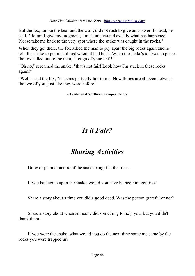But the fox, unlike the bear and the wolf, did not rush to give an answer. Instead, he said, "Before I give my judgment, I must understand exactly what has happened. Please take me back to the very spot where the snake was caught in the rocks."

When they got there, the fox asked the man to pry apart the big rocks again and he told the snake to put its tail just where it had been. When the snake's tail was in place, the fox called out to the man, "Let go of your staff!"

"Oh no," screamed the snake, "that's not fair! Look how I'm stuck in these rocks again!"

"Well," said the fox, "it seems perfectly fair to me. Now things are all even between the two of you, just like they were before!"

**- Traditional Northern European Story**

**★**

### *Is it Fair?*

### *Sharing Activities*

- $\Box$  Draw or paint a picture of the snake caught in the rocks.
- $\Box$  If you had come upon the snake, would you have helped him get free?
- $\Box$  Share a story about a time you did a good deed. Was the person grateful or not?

 $\Box$  Share a story about when someone did something to help you, but you didn't thank them.

 $\Box$  If you were the snake, what would you do the next time someone came by the rocks you were trapped in?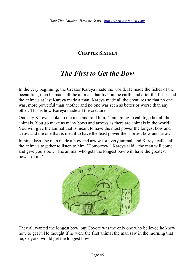### **CHAPTER SIXTEEN**

### *The First to Get the Bow*

In the very beginning, the Creator Kareya made the world. He made the fishes of the ocean first, then he made all the animals that live on the earth, and after the fishes and the animals at last Kareya made a man. Kareya made all the creatures so that no one was, more powerful than another and no one was seen as better or worse than any other. This is how Kareya made all the creatures.

One day Kareya spoke to the man and told him, "I am going to call together all the animals. You go make as many bows and arrows as there are animals in the world. You will give the animal that is meant to have the most power the longest bow and arrow and the one that is meant to have the least power the shortest bow and arrow."

In nine days, the man made a bow and arrow for every animal, and Kareya called all the animals together to listen to him. "Tomorrow," Kareya said, "the man will come and give you a bow. The animal who gets the longest bow will have the greatest power of all."



They all wanted the longest bow, but Coyote was the only one who believed he knew how to get it. He thought if he were the first animal the man saw in the morning that he, Coyote, would get the longest bow.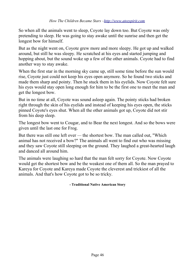So when all the animals went to sleep, Coyote lay down too. But Coyote was only pretending to sleep. He was going to stay awake until the sunrise and then get the longest bow for himself.

But as the night went on, Coyote grew more and more sleepy. He got up and walked around, but still he was sleepy. He scratched at his eyes and started jumping and hopping about, but the sound woke up a few of the other animals. Coyote had to find another way to stay awake.

When the first star in the morning sky came up, still some time before the sun would rise, Coyote just could not keep his eyes open anymore. So he found two sticks and made them sharp and pointy. Then he stuck them in his eyelids. Now Coyote felt sure his eyes would stay open long enough for him to be the first one to meet the man and get the longest bow.

But in no time at all, Coyote was sound asleep again. The pointy sticks had broken right through the skin of his eyelids and instead of keeping his eyes open, the sticks pinned Coyote's eyes shut. When all the other animals got up, Coyote did not stir from his deep sleep.

The longest bow went to Cougar, and to Bear the next longest. And so the bows were given until the last one for Frog.

But there was still one left over *—* the shortest bow. The man called out, "Which animal has not received a bow?" The animals all went to find out who was missing and they saw Coyote still sleeping on the ground. They laughed a great-hearted laugh and danced all around him.

The animals were laughing so hard that the man felt sorry for Coyote. Now Coyote would get the shortest bow and be the weakest one of them all. So the man prayed to Kareya for Coyote and Kareya made Coyote the cleverest and trickiest of all the animals. And that's how Coyote got to be so tricky.

**- Traditional Native American Story**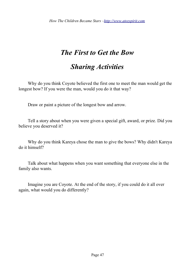# *The First to Get the Bow*

# *Sharing Activities*

 $\Box$  Why do you think Coyote believed the first one to meet the man would get the longest bow? If you were the man, would you do it that way?

 $\Box$  Draw or paint a picture of the longest bow and arrow.

 $\Box$  Tell a story about when you were given a special gift, award, or prize. Did you believe you deserved it?

 $\Box$  Why do you think Kareya chose the man to give the bows? Why didn't Kareya do it himself?

 $\Box$  Talk about what happens when you want something that everyone else in the family also wants.

 $\Box$  Imagine you are Coyote. At the end of the story, if you could do it all over again, what would you do differently?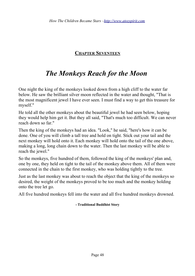**CHAPTER SEVENTEEN**

# *The Monkeys Reach for the Moon*

One night the king of the monkeys looked down from a high cliff to the water far below. He saw the brilliant silver moon reflected in the water and thought, "That is the most magnificent jewel I have ever seen. I must find a way to get this treasure for myself."

He told all the other monkeys about the beautiful jewel he had seen below, hoping they would help him get it. But they all said, "That's much too difficult. We can never reach down so far."

Then the king of the monkeys had an idea. "Look," he said, "here's how it can be done. One of you will climb a tall tree and hold on tight. Stick out your tail and the next monkey will hold onto it. Each monkey will hold onto the tail of the one above, making a long, long chain down to the water. Then the last monkey will be able to reach the jewel."

So the monkeys, five hundred of them, followed the king of the monkeys' plan and, one by one, they held on tight to the tail of the monkey above them. All of them were connected in the chain to the first monkey, who was holding tightly to the tree.

Just as the last monkey was about to reach the object that the king of the monkeys so desired, the weight of the monkeys proved to be too much and the monkey holding onto the tree let go.

All five hundred monkeys fell into the water and all five hundred monkeys drowned.

**- Traditional Buddhist Story**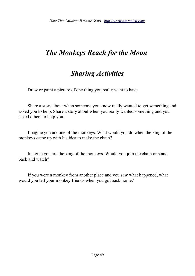## *The Monkeys Reach for the Moon*

### *Sharing Activities*

 $\Box$  Draw or paint a picture of one thing you really want to have.

 $\Box$  Share a story about when someone you know really wanted to get something and asked you to help. Share a story about when you really wanted something and you asked others to help you.

 $\Box$  Imagine you are one of the monkeys. What would you do when the king of the monkeys came up with his idea to make the chain?

 $\Box$  Imagine you are the king of the monkeys. Would you join the chain or stand back and watch?

 $\Box$  If you were a monkey from another place and you saw what happened, what would you tell your monkey friends when you got back home?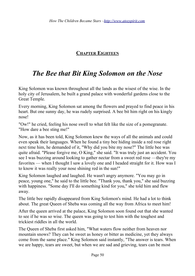### **CHAPTER EIGHTEEN**

### *The Bee that Bit King Solomon on the Nose*

King Solomon was known throughout all the lands as the wisest of the wise. In the holy city of Jerusalem, he built a grand palace with wonderful gardens close to the Great Temple.

Every morning, King Solomon sat among the flowers and prayed to find peace in his heart. But one sunny day, he was rudely surprised. A bee bit him right on his kingly nose!

"Ow!" he cried, feeling his nose swell to what felt like the size of a pomegranate. "How dare a bee sting me!"

Now, as it has been told, King Solomon knew the ways of all the animals and could even speak their languages. When he found a tiny bee hiding inside a red rose right next time him, he demanded of it, "Why did you bite my nose?" The little bee was quite afraid. "Please forgive me, O King," she said. "It was truly just an accident. You see I was buzzing around looking to gather nectar from a sweet red rose —they're my favorites — when I thought I saw a lovely one and I headed straight for it. How was I to know it was really your nose shining red in the sun!"

King Solomon laughed and laughed. He wasn't angry anymore. "You may go in peace, young one," he said to the little bee. "Thank you, thank you," she said buzzing with happiness. "Some day I'll do something kind for you," she told him and flew away.

The little bee rapidly disappeared from King Solomon's mind. He had a lot to think about. The great Queen of Sheba was coming all the way from Africa to meet him!

After the queen arrived at the palace, King Solomon soon found out that she wanted to see if he was so wise. The queen was going to test him with the toughest and trickiest riddles in all the world.

The Queen of Sheba first asked him, "What waters flow neither from heaven nor mountain snows? They can be sweet as honey or bitter as medicine, yet they always come from the same place." King Solomon said instantly, "The answer is tears. When we are happy, tears are sweet, but when we are sad and grieving, tears can be most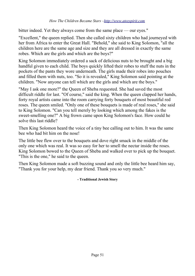bitter indeed. Yet they always come from the same place — our eyes."

"Excellent," the queen replied. Then she called sixty children who had journeyed with her from Africa to enter the Great Hall. "Behold," she said to King Solomon, "all the children here are the same age and size and they are all dressed in exactly the same robes. Which are the girls and which are the boys?"

King Solomon immediately ordered a sack of delicious nuts to be brought and a big handful given to each child. The boys quickly lifted their robes to stuff the nuts in the pockets of the pants they wore underneath. The girls made their robes into pouches and filled them with nuts, too. "So it is revealed," King Solomon said pointing at the children. "Now anyone can tell which are the girls and which are the boys."

"May I ask one more?" the Queen of Sheba requested. She had saved the most difficult riddle for last. "Of course," said the king. When the queen clapped her hands, forty royal artists came into the room carrying forty bouquets of most beautiful red roses. The queen smiled. "Only one of these bouquets is made of real roses," she said to King Solomon. "Can you tell merely by looking which among the fakes is the sweet-smelling one?" A big frown came upon King Solomon's face. How could he solve this last riddle?

Then King Solomon heard the voice of a tiny bee calling out to him. It was the same bee who had bit him on the nose!

The little bee flew over to the bouquets and dove right smack in the middle of the only one which was real. It was so easy for her to smell the nectar inside the roses. King Solomon bowed to the Queen of Sheba and walked over to pick up the bouquet. "This is the one," he said to the queen.

Then King Solomon made a soft buzzing sound and only the little bee heard him say, "Thank you for your help, my dear friend. Thank you so very much."

**- Traditional Jewish Story**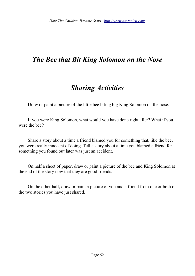### *The Bee that Bit King Solomon on the Nose*

### *Sharing Activities*

 $\Box$  Draw or paint a picture of the little bee biting big King Solomon on the nose.

 $\Box$  If you were King Solomon, what would you have done right after? What if you were the bee?

 $\Box$  Share a story about a time a friend blamed you for something that, like the bee, you were really innocent of doing. Tell a story about a time you blamed a friend for something you found out later was just an accident.

 $\Box$  On half a sheet of paper, draw or paint a picture of the bee and King Solomon at the end of the story now that they are good friends.

 $\Box$  On the other half, draw or paint a picture of you and a friend from one or both of the two stories you have just shared.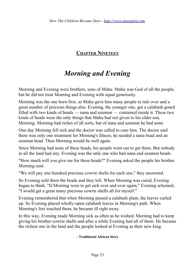**CHAPTER NINETEEN**

### *Morning and Evening*

Morning and Evening were brothers, sons of Mahu. Mahu was God of all the people, but he did not treat Morning and Evening with equal generosity.

Morning was the one born first, so Mahu gave him many people to rule over and a great number of precious things also. Evening, the younger one, got a calabash gourd filled with two kinds of beads — nana and azumun — contained inside it. These two kinds of beads were the only things that Mahu had not given to his older son, Morning. Morning had riches of all sorts, but of nana and azumun he had none.

One day Morning fell sick and the doctor was called to cure him. The doctor said there was only one treatment for Morning's illness; he needed a nana bead and an azumun bead. Then Morning would be well again.

Since Morning had none of these beads, his people went out to get them. But nobody in all the land had any. Evening was the only one who had nana and azumun beads.

"How much will you give me for these beads?" Evening asked the people his brother Morning sent.

"We will pay one hundred precious cowrie shells for each one," they answered.

So Evening sold them the beads and they left. When Morning was cured, Evening began to think. "If Morning were to get sick over and over again," Evening schemed, "I would get a great many precious cowrie shells all for myself."

Evening remembered that when Morning passed a calabash plant, the leaves curled up. So Evening placed wholly-open calabash leaves in Morning's path. When Morning's feet touched them, he became ill right away.

In this way, Evening made Morning sick as often as he wished. Morning had to keep giving his brother cowrie shells and after a while Evening had all of them. He became the richest one in the land and the people looked at Evening as their new king.

#### **- Traditional African Story**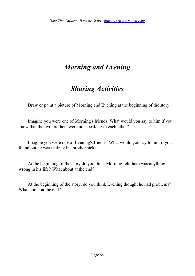**【** 

### *Morning and Evening*

### *Sharing Activities*

 $\Box$  Draw or paint a picture of Morning and Evening at the beginning of the story.

 $\Box$  Imagine you were one of Morning's friends. What would you say to him if you knew that the two brothers were not speaking to each other?

 $\Box$  Imagine you were one of Evening's friends. What would you say to him if you found out he was making his brother sick?

 $\Box$  At the beginning of the story do you think Morning felt there was anything wrong in his life? What about at the end?

 $\Box$  At the beginning of the story, do you think Evening thought he had problems? What about at the end?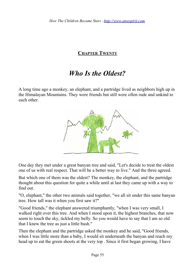### **CHAPTER TWENTY**

### *Who Is the Oldest?*

A long time ago a monkey, an elephant, and a partridge lived as neighbors high up in the Himalayan Mountains. They were friends but still were often rude and unkind to each other.



One day they met under a great banyan tree and said, "Let's decide to treat the oldest one of us with real respect. That will be a better way to live." And the three agreed.

But which one of them was the oldest? The monkey, the elephant, and the partridge thought about this question for quite a while until at last they came up with a way to find out.

"O, elephant," the other two animals said together, "we all sit under this same banyan tree. How tall was it when you first saw it?"

"Good friends," the elephant answered triumphantly, "when I was very small, I walked right over this tree. And when I stood upon it, the highest branches, that now seem to touch the sky, tickled my belly. So you would have to say that I am so old that I knew the tree as just a little bush."

Then the elephant and the partridge asked the monkey and he said, "Good friends, when I was little more than a baby, I would sit underneath the banyan and reach my head up to eat the green shoots at the very top . Since it first began growing, I have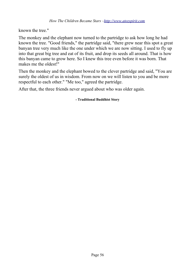known the tree."

The monkey and the elephant now turned to the partridge to ask how long he had known the tree. "Good friends," the partridge said, "there grew near this spot a great banyan tree very much like the one under which we are now sitting. I used to fly up into that great big tree and eat of its fruit, and drop its seeds all around. That is how this banyan came to grow here. So I knew this tree even before it was born. That makes me the oldest!"

Then the monkey and the elephant bowed to the clever partridge and said, "You are surely the oldest of us in wisdom. From now on we will listen to you and be more respectful to each other." "Me too," agreed the partridge.

After that, the three friends never argued about who was older again.

#### **- Traditional Buddhist Story**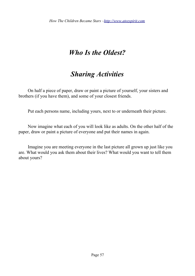# *Who Is the Oldest?*

### *Sharing Activities*

 $\Box$  On half a piece of paper, draw or paint a picture of yourself, your sisters and brothers (if you have them), and some of your closest friends.

 $\Box$  Put each persons name, including yours, next to or underneath their picture.

 $\Box$  Now imagine what each of you will look like as adults. On the other half of the paper, draw or paint a picture of everyone and put their names in again.

 $\Box$  Imagine you are meeting everyone in the last picture all grown up just like you are. What would you ask them about their lives? What would you want to tell them about yours?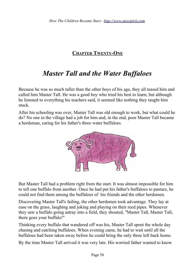### **CHAPTER TWENTY-ONE**

### *Master Tall and the Water Buffaloes*

Because he was so much taller than the other boys of his age, they all teased him and called him Master Tall. He was a good boy who tried his best to learn, but although he listened to everything his teachers said, it seemed like nothing they taught him stuck.

After his schooling was over, Master Tall was old enough to work, but what could he do? No one in the village had a job for him and, in the end, poor Master Tall became a herdsman, caring for his father's three water buffaloes.



But Master Tall had a problem right from the start. It was almost impossible for him to tell one buffalo from another. Once he had put his father's buffaloes to pasture, he could not find them among the buffaloes of his friends and the other herdsmen.

Discovering Master Tall's failing, the other herdsmen took advantage. They lay at ease on the grass, laughing and joking and playing on their reed pipes. Whenever they saw a buffalo going astray into a field, they shouted, "Master Tall, Master Tall, there goes your buffalo!"

Thinking every buffalo that wandered off was his, Master Tall spent the whole day chasing and catching buffaloes. When evening came, he had to wait until all the buffaloes had been taken away before he could bring the only three left back home.

By the time Master Tall arrived it was very late. His worried father wanted to know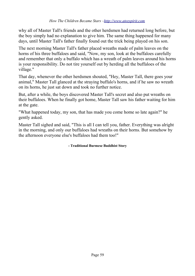why all of Master Tall's friends and the other herdsmen had returned long before, but the boy simply had no explanation to give him. The same thing happened for many days, until Master Tall's father finally found out the trick being played on his son.

The next morning Master Tall's father placed wreaths made of palm leaves on the horns of his three buffaloes and said, "Now, my son, look at the buffaloes carefully and remember that only a buffalo which has a wreath of palm leaves around his horns is your responsibility. Do not tire yourself out by herding all the buffaloes of the village."

That day, whenever the other herdsmen shouted, "Hey, Master Tall, there goes your animal," Master Tall glanced at the straying buffalo's horns, and if he saw no wreath on its horns, he just sat down and took no further notice.

But, after a while, the boys discovered Master Tall's secret and also put wreaths on their buffaloes. When he finally got home, Master Tall saw his father waiting for him at the gate.

"What happened today, my son, that has made you come home so late again?" he gently asked.

Master Tall sighed and said, "This is all I can tell you, father. Everything was alright in the morning, and only our buffaloes had wreaths on their horns. But somehow by the afternoon everyone else's buffaloes had them too!"

#### **- Traditional Burmese Buddhist Story**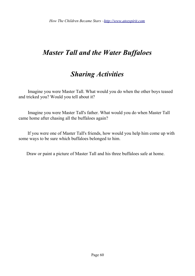**【** 

### *Master Tall and the Water Buffaloes*

### *Sharing Activities*

 $\Box$  Imagine you were Master Tall. What would you do when the other boys teased and tricked you? Would you tell about it?

 $\Box$  Imagine you were Master Tall's father. What would you do when Master Tall came home after chasing all the buffaloes again?

 $\Box$  If you were one of Master Tall's friends, how would you help him come up with some ways to be sure which buffaloes belonged to him.

 $\Box$  Draw or paint a picture of Master Tall and his three buffaloes safe at home.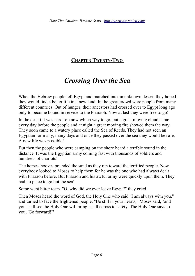### **CHAPTER TWENTY-TWO**

### *Crossing Over the Sea*

When the Hebrew people left Egypt and marched into an unknown desert, they hoped they would find a better life in a new land. In the great crowd were people from many different countries. Out of hunger, their ancestors had crossed over to Egypt long ago only to become bound in service to the Pharaoh. Now at last they were free to go!

In the desert it was hard to know which way to go, but a great moving cloud came every day before the people and at night a great moving fire showed them the way. They soon came to a watery place called the Sea of Reeds. They had not seen an Egyptian for many, many days and once they passed over the sea they would be safe. A new life was possible!

But then the people who were camping on the shore heard a terrible sound in the distance. It was the Egyptian army coming fast with thousands of soldiers and hundreds of chariots!

The horses' hooves pounded the sand as they ran toward the terrified people. Now everybody looked to Moses to help them for he was the one who had always dealt with Pharaoh before. But Pharaoh and his awful army were quickly upon them. They had no place to go but the sea!

Some wept bitter tears. "O, why did we ever leave Egypt?" they cried.

Then Moses heard the word of God, the Holy One who said "I am always with you," and turned to face the frightened people. "Be still in your hearts," Moses said, "and you shall see the Holy One will bring us all across to safety. The Holy One says to you, 'Go forward!'"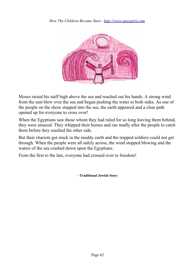

Moses raised his staff high above the sea and reached out his hands. A strong wind from the east blew over the sea and began pushing the water to both sides. As one of the people on the shore stepped into the sea, the earth appeared and a clear path opened up for everyone to cross over!

When the Egyptians saw those whom they had ruled for so long leaving them behind, they were amazed. They whipped their horses and ran madly after the people to catch them before they reached the other side.

But their chariots got stuck in the muddy earth and the trapped soldiers could not get through. When the people were all safely across, the wind stopped blowing and the waters of the sea crashed down upon the Egyptians.

From the first to the last, everyone had crossed over to freedom!

**- Traditional Jewish Story**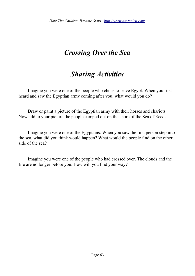## *Crossing Over the Sea*

### *Sharing Activities*

 $\Box$  Imagine you were one of the people who chose to leave Egypt. When you first heard and saw the Egyptian army coming after you, what would you do?

 $\Box$  Draw or paint a picture of the Egyptian army with their horses and chariots. Now add to your picture the people camped out on the shore of the Sea of Reeds.

 $\Box$  Imagine you were one of the Egyptians. When you saw the first person step into the sea, what did you think would happen? What would the people find on the other side of the sea?

 $\Box$  Imagine you were one of the people who had crossed over. The clouds and the fire are no longer before you. How will you find your way?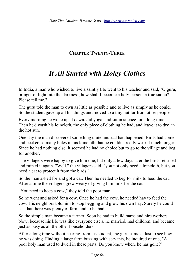**CHAPTER TWENTY-THREE**

## *It All Started with Holey Clothes*

In India, a man who wished to live a saintly life went to his teacher and said, "O guru, bringer of light into the darkness, how shall I become a holy person, a true sadhu? Please tell me."

The guru told the man to own as little as possible and to live as simply as he could. So the student gave up all his things and moved to a tiny hut far from other people.

Every morning he woke up at dawn, did yoga, and sat in silence for a long time. Then he'd wash his loincloth, the only piece of clothing he had, and leave it to dry in the hot sun.

One day the man discovered something quite unusual had happened. Birds had come and pecked so many holes in his loincloth that he couldn't really wear it much longer. Since he had nothing else, it seemed he had no choice but to go to the village and beg for another.

The villagers were happy to give him one, but only a few days later the birds returned and ruined it again. "Well," the villagers said, "you not only need a loincloth, but you need a cat to protect it from the birds."

So the man asked for and got a cat. Then he needed to beg for milk to feed the cat. After a time the villagers grew weary of giving him milk for the cat.

"You need to keep a cow," they told the poor man.

So he went and asked for a cow. Once he had the cow, he needed hay to feed the cow. His neighbors told him to stop begging and grow his own hay. Surely he could see that there was plenty of farmland to be had.

So the simple man became a farmer. Soon he had to build barns and hire workers. Now, because his life was like everyone else's, he married, had children, and became just as busy as all the other householders.

After a long time without hearing from his student, the guru came at last to see how he was doing. Finding a large farm buzzing with servants, he inquired of one, "A poor holy man used to dwell in these parts. Do you know where he has gone?"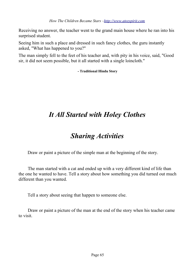Receiving no answer, the teacher went to the grand main house where he ran into his surprised student.

Seeing him in such a place and dressed in such fancy clothes, the guru instantly asked, "What has happened to you?"

The man simply fell to the feet of his teacher and, with pity in his voice, said, "Good sir, it did not seem possible, but it all started with a single loincloth."

**- Traditional Hindu Story**

### **★**

# *It All Started with Holey Clothes*

# *Sharing Activities*

 $\Box$  Draw or paint a picture of the simple man at the beginning of the story.

 $\Box$  The man started with a cat and ended up with a very different kind of life than the one he wanted to have. Tell a story about how something you did turned out much different than you wanted.

 $\Box$  Tell a story about seeing that happen to someone else.

 $\Box$  Draw or paint a picture of the man at the end of the story when his teacher came to visit.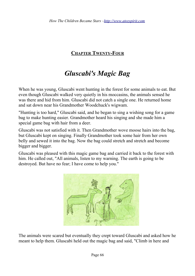### **CHAPTER TWENTY-FOUR**

### *Gluscabi's Magic Bag*

When he was young, Gluscabi went hunting in the forest for some animals to eat. But even though Gluscabi walked very quietly in his moccasins, the animals sensed he was there and hid from him. Gluscabi did not catch a single one. He returned home and sat down near his Grandmother Woodchuck's wigwam.

"Hunting is too hard," Gluscabi said, and he began to sing a wishing song for a game bag to make hunting easier. Grandmother heard his singing and she made him a special game bag with hair from a deer.

Gluscabi was not satisfied with it. Then Grandmother wove moose hairs into the bag, but Gluscabi kept on singing. Finally Grandmother took some hair from her own belly and sewed it into the bag. Now the bag could stretch and stretch and become bigger and bigger.

Gluscabi was pleased with this magic game bag and carried it back to the forest with him. He called out, "All animals, listen to my warning. The earth is going to be destroyed. But have no fear; I have come to help you."



The animals were scared but eventually they crept toward Gluscabi and asked how he meant to help them. Gluscabi held out the magic bag and said, "Climb in here and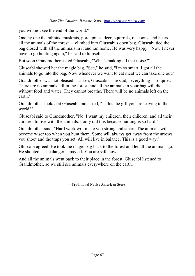you will not see the end of the world."

One by one the rabbits, muskrats, porcupines, deer, squirrels, raccoons, and bears  all the animals of the forest *—* climbed into Gluscabi's open bag. Gluscabi tied the bag closed with all the animals in it and ran home. He was very happy. "Now I never have to go hunting again," he said to himself.

But soon Grandmother asked Gluscabi, "What's making all that noise?"

Gluscabi showed her the magic bag. "See," he said, "I'm so smart. I got all the animals to go into the bag. Now whenever we want to eat meat we can take one out."

Grandmother was not pleased. "Listen, Gluscabi," she said, "everything is so quiet. There are no animals left in the forest, and all the animals in your bag will die without food and water. They cannot breathe. There will be no animals left on the earth."

Grandmother looked at Gluscabi and asked, "Is this the gift you are leaving to the world?"

Gluscabi said to Grandmother, "No. I want my children, their children, and all their children to live with the animals. I only did this because hunting is so hard."

Grandmother said, "Hard work will make you strong and smart. The animals will become wiser too when you hunt them. Some will always get away from the arrows you shoot and the traps you set. All will live in balance. This is a good way."

Gluscabi agreed. He took the magic bag back to the forest and let all the animals go. He shouted, "The danger is passed. You are safe now."

And all the animals went back to their place in the forest. Gluscabi listened to Grandmother, so we still see animals everywhere on the earth.

**- Traditional Native American Story**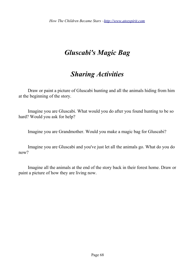**【** 

# *Gluscabi's Magic Bag*

### *Sharing Activities*

 $\Box$  Draw or paint a picture of Gluscabi hunting and all the animals hiding from him at the beginning of the story.

 $\Box$  Imagine you are Gluscabi. What would you do after you found hunting to be so hard? Would you ask for help?

 $\Box$  Imagine you are Grandmother. Would you make a magic bag for Gluscabi?

 $\Box$  Imagine you are Gluscabi and you've just let all the animals go. What do you do now?

 $\Box$  Imagine all the animals at the end of the story back in their forest home. Draw or paint a picture of how they are living now.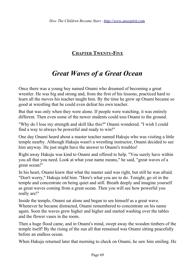**CHAPTER TWENTY-FIVE**

### *Great Waves of a Great Ocean*

Once there was a young boy named Onami who dreamed of becoming a great wrestler. He was big and strong and, from the first of his lessons, practiced hard to learn all the moves his teacher taught him. By the time he grew up Onami became so good at wrestling that he could even defeat his own teacher.

But that was only when they were alone. If people were watching, it was entirely different. Then even some of the newer students could toss Onami to the ground.

"Why do I lose my strength and skill like this?" Onami wondered. "I wish I could find a way to always be powerful and ready to win!"

One day Onami heard about a master teacher named Hakuju who was visiting a little temple nearby. Although Hakuju wasn't a wrestling instructor, Onami decided to see him anyway. He just might have the answer to Onami's troubles!

Right away Hakuju was kind to Onami and offered to help. "You surely have within you all that you need. Look at what your name means," he said, "great waves of a great ocean!"

In his heart, Onami knew that what the master said was right, but still he was afraid. "Don't worry," Hakuju told him. "Here's what you are to do. Tonight, go sit in the temple and concentrate on being quiet and still. Breath deeply and imagine yourself as great waves coming from a great ocean. Then you will see how powerful you really are!"

Inside the temple, Onami sat alone and began to see himself as a great wave. Whenever he became distracted, Onami remembered to concentrate on his name again. Soon the waves grew higher and higher and started washing over the tables and the flower vases in the room.

Then a huge flood came, and in Onami's mind, swept away the wooden timbers of the temple itself! By the rising of the sun all that remained was Onami sitting peacefully before an endless ocean.

When Hakuju returned later that morning to check on Onami, he saw him smiling. He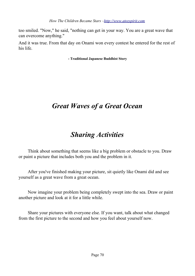too smiled. "Now," he said, "nothing can get in your way. You are a great wave that can overcome anything."

And it was true. From that day on Onami won every contest he entered for the rest of his life.

**- Traditional Japanese Buddhist Story**

# *Great Waves of a Great Ocean*

**★**

# *Sharing Activities*

 $\Box$  Think about something that seems like a big problem or obstacle to you. Draw or paint a picture that includes both you and the problem in it.

 $\Box$  After you've finished making your picture, sit quietly like Onami did and see yourself as a great wave from a great ocean.

 $\Box$  Now imagine your problem being completely swept into the sea. Draw or paint another picture and look at it for a little while.

 $\Box$  Share your pictures with everyone else. If you want, talk about what changed from the first picture to the second and how you feel about yourself now.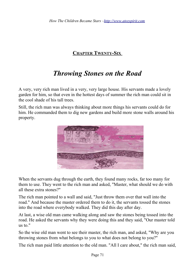### **CHAPTER TWENTY-SIX**

### *Throwing Stones on the Road*

A very, very rich man lived in a very, very large house. His servants made a lovely garden for him, so that even in the hottest days of summer the rich man could sit in the cool shade of his tall trees.

Still, the rich man was always thinking about more things his servants could do for him. He commanded them to dig new gardens and build more stone walls around his property.



When the servants dug through the earth, they found many rocks, far too many for them to use. They went to the rich man and asked, "Master, what should we do with all these extra stones?"

The rich man pointed to a wall and said, "Just throw them over that wall into the road." And because the master ordered them to do it, the servants tossed the stones into the road where everybody walked. They did this day after day.

At last, a wise old man came walking along and saw the stones being tossed into the road. He asked the servants why they were doing this and they said, "Our master told us to."

So the wise old man went to see their master, the rich man, and asked, "Why are you throwing stones from what belongs to you to what does not belong to you?"

The rich man paid little attention to the old man. "All I care about," the rich man said,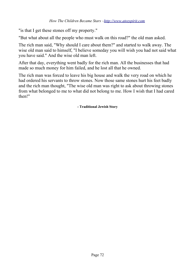"is that I get these stones off my property."

"But what about all the people who must walk on this road?" the old man asked.

The rich man said, "Why should I care about them?" and started to walk away. The wise old man said to himself, "I believe someday you will wish you had not said what you have said." And the wise old man left.

After that day, everything went badly for the rich man. All the businesses that had made so much money for him failed, and he lost all that he owned.

The rich man was forced to leave his big house and walk the very road on which he had ordered his servants to throw stones. Now those same stones hurt his feet badly and the rich man thought, "The wise old man was right to ask about throwing stones from what belonged to me to what did not belong to me. How I wish that I had cared then!"

**- Traditional Jewish Story**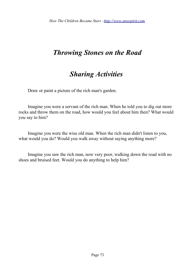### *Throwing Stones on the Road*

### *Sharing Activities*

 $\Box$  Draw or paint a picture of the rich man's garden.

 $\Box$  Imagine you were a servant of the rich man. When he told you to dig out more rocks and throw them on the road, how would you feel about him then? What would you say to him?

 $\Box$  Imagine you were the wise old man. When the rich man didn't listen to you, what would you do? Would you walk away without saying anything more?

 $\Box$  Imagine you saw the rich man, now very poor, walking down the road with no shoes and bruised feet. Would you do anything to help him?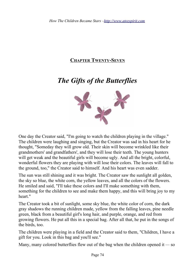#### **CHAPTER TWENTY-SEVEN**

### *The Gifts of the Butterflies*



One day the Creator said, "I'm going to watch the children playing in the village." The children were laughing and singing, but the Creator was sad in his heart for he thought, "Someday they will grow old. Their skin will become wrinkled like their grandmothers' and grandfathers', and they will lose their teeth. The young hunters will get weak and the beautiful girls will become ugly. And all the bright, colorful, wonderful flowers they are playing with will lose their colors. The leaves will fall to the ground, too," the Creator said to himself. And his heart was even sadder.

The sun was still shining and it was bright. The Creator saw the sunlight all golden, the sky so blue, the white corn, the yellow leaves, and all the colors of the flowers. He smiled and said, "I'll take these colors and I'll make something with them, something for the children to see and make them happy, and this will bring joy to my heart<sup>"</sup>

The Creator took a bit of sunlight, some sky blue, the white color of corn, the dark gray shadows the running children made, yellow from the falling leaves, pine needle green, black from a beautiful girl's long hair, and purple, orange, and red from growing flowers. He put all this in a special bag. After all that, he put in the songs of the birds, too.

The children were playing in a field and the Creator said to them, "Children, I have a gift for you. Look in this bag and you'll see."

Many, many colored butterflies flew out of the bag when the children opened it *—* so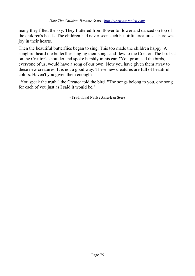many they filled the sky. They fluttered from flower to flower and danced on top of the children's heads. The children had never seen such beautiful creatures. There was joy in their hearts.

Then the beautiful butterflies began to sing. This too made the children happy. A songbird heard the butterflies singing their songs and flew to the Creator. The bird sat on the Creator's shoulder and spoke harshly in his ear. "You promised the birds, everyone of us, would have a song of our own. Now you have given them away to these new creatures. It is not a good way. These new creatures are full of beautiful colors. Haven't you given them enough?"

"You speak the truth," the Creator told the bird. "The songs belong to you, one song for each of you just as I said it would be."

#### **- Traditional Native American Story**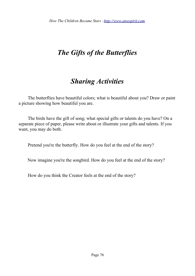## *The Gifts of the Butterflies*

### *Sharing Activities*

 $\Box$  The butterflies have beautiful colors; what is beautiful about you? Draw or paint a picture showing how beautiful you are.

 $\Box$  The birds have the gift of song; what special gifts or talents do you have? On a separate piece of paper, please write about or illustrate your gifts and talents. If you want, you may do both.

 $\Box$  Pretend you're the butterfly. How do you feel at the end of the story?

- $\Box$  Now imagine you're the songbird. How do you feel at the end of the story?
- $\Box$  How do you think the Creator feels at the end of the story?

**★**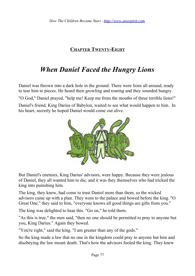### **CHAPTER TWENTY-EIGHT**

# *When Daniel Faced the Hungry Lions*

Daniel was thrown into a dark hole in the ground. There were lions all around, ready to tear him to pieces. He heard their growling and roaring and they sounded hungry.

"O God," Daniel prayed, "help me! Keep me from the mouths of these terrible lions!"

Daniel's friend, King Darius of Babylon, waited to see what would happen to him. In his heart, secretly he hoped Daniel would come out alive.



But Daniel's enemies, King Darius' advisors, were happy. Because they were jealous of Daniel, they all wanted him to die, and it was they themselves who had tricked the king into punishing him.

The king, they knew, had come to trust Daniel more than them, so the wicked advisors came up with a plan. They went to the palace and bowed before the king. "O Great One," they said to him, "everyone knows all good things are gifts from you."

The king was delighted to hear this. "Go on," he told them.

"As this is true," the men said, "then no one should be permitted to pray to anyone but you, King Darius." Again they bowed.

"You're right," said the king. "I am greater than any of the gods."

So the king made a law that no one in the kingdom could pray to anyone but him and disobeying the law meant death. That's how the advisors fooled the king. They knew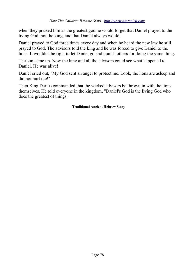when they praised him as the greatest god he would forget that Daniel prayed to the living God, not the king, and that Daniel always would.

Daniel prayed to God three times every day and when he heard the new law he still prayed to God. The advisors told the king and he was forced to give Daniel to the lions. It wouldn't be right to let Daniel go and punish others for doing the same thing.

The sun came up. Now the king and all the advisors could see what happened to Daniel. He was alive!

Daniel cried out, "My God sent an angel to protect me. Look, the lions are asleep and did not hurt me!"

Then King Darius commanded that the wicked advisors be thrown in with the lions themselves. He told everyone in the kingdom, "Daniel's God is the living God who does the greatest of things."

**- Traditional Ancient Hebrew Story**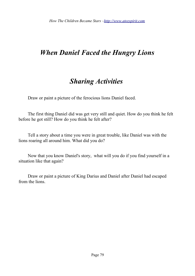### *When Daniel Faced the Hungry Lions*

### *Sharing Activities*

 $\Box$  Draw or paint a picture of the ferocious lions Daniel faced.

 $\Box$  The first thing Daniel did was get very still and quiet. How do you think he felt before he got still? How do you think he felt after?

 $\Box$  Tell a story about a time you were in great trouble, like Daniel was with the lions roaring all around him. What did you do?

 $\Box$  Now that you know Daniel's story, what will you do if you find yourself in a situation like that again?

 $\Box$  Draw or paint a picture of King Darius and Daniel after Daniel had escaped from the lions.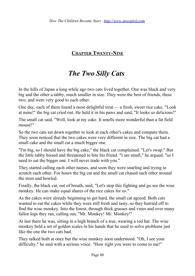#### **CHAPTER TWENTY-NINE**

### *The Two Silly Cats*

In the hills of Japan a long while ago two cats lived together. One was black and very big and the other a tabby, much smaller in size. They were the best of friends, these two, and were very good to each other.

One day, each of them found a most delightful treat *—* a fresh, sweet rice cake. "Look at mine!" the big cat cried out. He held it in his paws and said, "It looks so delicious!"

The small cat said, "Well, look at my cake. It smells more wonderful than a fat field mouse!"

So the two cats sat down together to look at each other's cakes and compare them. They soon noticed that the two cakes were very different in size. The big cat had a small cake and the small cat a much bigger one.

"I'm big, so I should have the big cake," the black cat complained. "Let's swap." But the little tabby hissed and threatened to bite his friend. "I am small," he argued, "so I need to eat the bigger one. I will never trade with you."

They started calling each other names, and soon they were snarling and trying to scratch each other. For hours the big cat and the small cat chased each other around the trees and howled.

Finally, the black cat, out of breath, said, "Let's stop this fighting and go see the wise monkey. He can make equal shares of the rice cakes for us."

As the cakes were already beginning to get hard, the small cat agreed. Both cats wanted to eat the cakes while they were still fresh and tasty, so they hurried off to find the wise monkey. Into the forest, through thick grasses and vines and over many fallen logs they ran, calling out, "Mr. Monkey! Mr. Monkey!"

At last there he was, sitting in a high branch of a tree, wearing a red hat. The wise monkey held a set of golden scales in his hands that he used to solve problems just like the one the two cats had.

They talked both at once but the wise monkey soon understood. "Oh, I see your difficulty," he said with a serious voice. "How right you were to come to me!"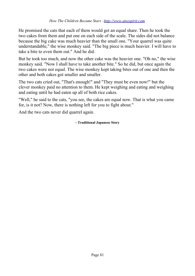He promised the cats that each of them would get an equal share. Then he took the two cakes from them and put one on each side of the scale. The sides did not balance because the big cake was much heavier than the small one. "Your quarrel was quite understandable," the wise monkey said. "The big piece is much heavier. I will have to take a bite to even them out." And he did.

But he took too much, and now the other cake was the heavier one. "Oh no," the wise monkey said. "Now I shall have to take another bite." So he did, but once again the two cakes were not equal. The wise monkey kept taking bites out of one and then the other and both cakes got smaller and smaller.

The two cats cried out, "That's enough!" and "They must be even now!" but the clever monkey paid no attention to them. He kept weighing and eating and weighing and eating until he had eaten up all of both rice cakes.

"Well," he said to the cats, "you see, the cakes are equal now. That is what you came for, is it not? Now, there is nothing left for you to fight about."

And the two cats never did quarrel again.

#### **- Traditional Japanese Story**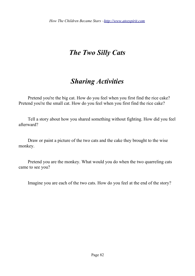### *The Two Silly Cats*

### *Sharing Activities*

 $\Box$  Pretend you're the big cat. How do you feel when you first find the rice cake? Pretend you're the small cat. How do you feel when you first find the rice cake?

 $\Box$  Tell a story about how you shared something without fighting. How did you feel afterward?

 $\Box$  Draw or paint a picture of the two cats and the cake they brought to the wise monkey.

 $\Box$  Pretend you are the monkey. What would you do when the two quarreling cats came to see you?

 $\Box$  Imagine you are each of the two cats. How do you feel at the end of the story?

Page 82

**★**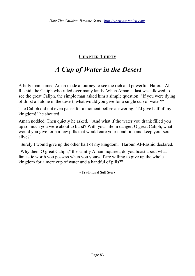### **CHAPTER THIRTY**

# *A Cup of Water in the Desert*

A holy man named Aman made a journey to see the rich and powerful Haroun Al-Rashid, the Caliph who ruled over many lands. When Aman at last was allowed to see the great Caliph, the simple man asked him a simple question: "If you were dying of thirst all alone in the desert, what would you give for a single cup of water?"

The Caliph did not even pause for a moment before answering. "I'd give half of my kingdom!" he shouted.

Aman nodded. Then quietly he asked, "And what if the water you drank filled you up so much you were about to burst? With your life in danger, O great Caliph, what would you give for a a few pills that would cure your condition and keep your soul alive?"

"Surely I would give up the other half of my kingdom," Haroun Al-Rashid declared.

"Why then, O great Caliph," the saintly Aman inquired, do you boast about what fantastic worth you possess when you yourself are willing to give up the whole kingdom for a mere cup of water and a handful of pills?"

**- Traditional Sufi Story**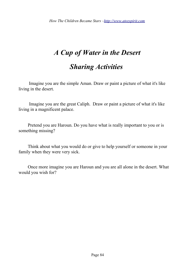# *A Cup of Water in the Desert Sharing Activities*

 $\Box$  Imagine you are the simple Aman. Draw or paint a picture of what it's like living in the desert.

 $\Box$  Imagine you are the great Caliph. Draw or paint a picture of what it's like living in a magnificent palace.

 $\Box$  Pretend you are Haroun. Do you have what is really important to you or is something missing?

 $\Box$  Think about what you would do or give to help yourself or someone in your family when they were very sick.

 $\Box$  Once more imagine you are Haroun and you are all alone in the desert. What would you wish for?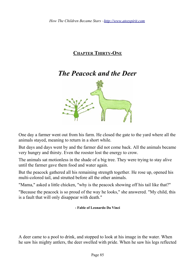### **CHAPTER THIRTY-ONE**

### *The Peacock and the Deer*



One day a farmer went out from his farm. He closed the gate to the yard where all the animals stayed, meaning to return in a short while.

But days and days went by and the farmer did not come back. All the animals became very hungry and thirsty. Even the rooster lost the energy to crow.

The animals sat motionless in the shade of a big tree. They were trying to stay alive until the farmer gave them food and water again.

But the peacock gathered all his remaining strength together. He rose up, opened his multi-colored tail, and strutted before all the other animals.

"Mama," asked a little chicken, "why is the peacock showing off his tail like that?"

"Because the peacock is so proud of the way he looks," she answered. "My child, this is a fault that will only disappear with death."

#### **- Fable of Leonardo Da Vinci**

**★ ★ ★**

A deer came to a pool to drink, and stopped to look at his image in the water. When he saw his mighty antlers, the deer swelled with pride. When he saw his legs reflected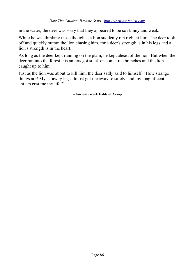in the water, the deer was sorry that they appeared to be so skinny and weak.

While he was thinking these thoughts, a lion suddenly ran right at him. The deer took off and quickly outran the lion chasing him, for a deer's strength is in his legs and a lion's strength is in the heart.

As long as the deer kept running on the plain, he kept ahead of the lion. But when the deer ran into the forest, his antlers got stuck on some tree branches and the lion caught up to him.

Just as the lion was about to kill him, the deer sadly said to himself, "How strange things are! My scrawny legs almost got me away to safety, and my magnificent antlers cost me my life!"

**- Ancient Greek Fable of Aesop**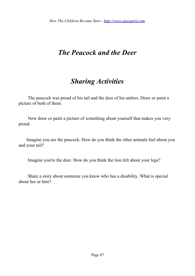### *The Peacock and the Deer*

### *Sharing Activities*

 $\Box$  The peacock was proud of his tail and the deer of his antlers. Draw or paint a picture of both of them.

 $\Box$  Now draw or paint a picture of something about yourself that makes you very proud.

 $\Box$  Imagine you are the peacock. How do you think the other animals feel about you and your tail?

 $\Box$  Imagine you're the deer. How do you think the lion felt about your legs?

 $\Box$  Share a story about someone you know who has a disability. What is special about her or him?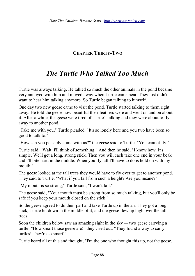**CHAPTER THIRTY-TWO**

### *The Turtle Who Talked Too Much*

Turtle was always talking. He talked so much the other animals in the pond became very annoyed with him and moved away when Turtle came near. They just didn't want to hear him talking anymore. So Turtle began talking to himself.

One day two new geese came to visit the pond. Turtle started talking to them right away. He told the geese how beautiful their feathers were and went on and on about it. After a while, the geese were tired of Turtle's talking and they were about to fly away to another pond.

"Take me with you," Turtle pleaded. "It's so lonely here and you two have been so good to talk to."

"How can you possibly come with us?" the geese said to Turtle. "You cannot fly."

Turtle said, "Wait. I'll think of something." And then he said, "I know how. It's simple. We'll get a long, strong stick. Then you will each take one end in your beak and I'll bite hard in the middle. When you fly, all I'll have to do is hold on with my mouth."

The geese looked at the tall trees they would have to fly over to get to another pond. They said to Turtle, "What if you fall from such a height? Are you insane?"

"My mouth is so strong," Turtle said, "I won't fall."

The geese said, "Your mouth must be strong from so much talking, but you'll only be safe if you keep your mouth closed on the stick."

So the geese agreed to do their part and take Turtle up in the air. They got a long stick, Turtle bit down in the middle of it, and the geese flew up high over the tall trees.

Soon the children below saw an amazing sight in the sky *—* two geese carrying a turtle! "How smart those geese are!" they cried out. "They found a way to carry turtles! They're so smart!"

Turtle heard all of this and thought, "I'm the one who thought this up, not the geese.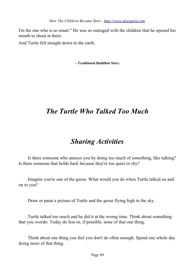I'm the one who is so smart." He was so outraged with the children that he opened his mouth to shout at them.

And Turtle fell straight down to the earth.

**- Traditional Buddhist Story**

# *The Turtle Who Talked Too Much*

# *Sharing Activities*

 $\Box$  Is there someone who annoys you by doing too much of something, like talking? Is there someone that holds back because they're too quiet or shy?

 $\Box$  Imagine you're one of the geese. What would you do when Turtle talked on and on to you?

 $\Box$  Draw or paint a picture of Turtle and the geese flying high in the sky.

 $\Box$  Turtle talked too much and he did it at the wrong time. Think about something that you overdo. Today do less or, if possible, none of that one thing.

 $\Box$  Think about one thing you feel you don't do often enough. Spend one whole day doing more of that thing.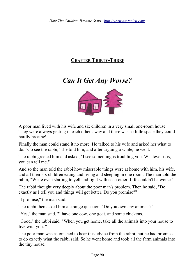

### **CHAPTER THIRTY-THREE**

### *Can It Get Any Worse?*



A poor man lived with his wife and six children in a very small one-room house. They were always getting in each other's way and there was so little space they could hardly breathe!

Finally the man could stand it no more. He talked to his wife and asked her what to do. "Go see the rabbi," she told him, and after arguing a while, he went.

The rabbi greeted him and asked, "I see something is troubling you. Whatever it is, you can tell me."

And so the man told the rabbi how miserable things were at home with him, his wife, and all their six children eating and living and sleeping in one room. The man told the rabbi, "We're even starting to yell and fight with each other. Life couldn't be worse."

The rabbi thought very deeply about the poor man's problem. Then he said, "Do exactly as I tell you and things will get better. Do you promise?"

"I promise," the man said.

The rabbi then asked him a strange question. "Do you own any animals?"

"Yes," the man said. "I have one cow, one goat, and some chickens.

"Good," the rabbi said. "When you get home, take all the animals into your house to live with you. "

The poor man was astonished to hear this advice from the rabbi, but he had promised to do exactly what the rabbi said. So he went home and took all the farm animals into the tiny house.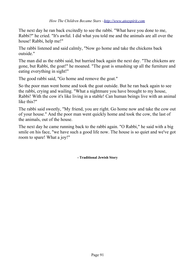The next day he ran back excitedly to see the rabbi. "What have you done to me, Rabbi?" he cried. "It's awful. I did what you told me and the animals are all over the house! Rabbi, help me!"

The rabbi listened and said calmly, "Now go home and take the chickens back outside."

The man did as the rabbi said, but hurried back again the next day. "The chickens are gone, but Rabbi, the goat!" he moaned. "The goat is smashing up all the furniture and eating everything in sight!"

The good rabbi said, "Go home and remove the goat."

So the poor man went home and took the goat outside. But he ran back again to see the rabbi, crying and wailing. "What a nightmare you have brought to my house, Rabbi! With the cow it's like living in a stable! Can human beings live with an animal like this?"

The rabbi said sweetly, "My friend, you are right. Go home now and take the cow out of your house." And the poor man went quickly home and took the cow, the last of the animals, out of the house.

The next day he came running back to the rabbi again. "O Rabbi," he said with a big smile on his face, "we have such a good life now. The house is so quiet and we've got room to spare! What a joy!"

**- Traditional Jewish Story**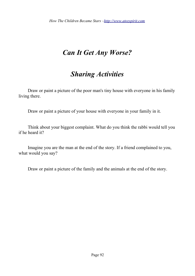### *Can It Get Any Worse?*

### *Sharing Activities*

 $\Box$  Draw or paint a picture of the poor man's tiny house with everyone in his family living there.

 $\Box$  Draw or paint a picture of your house with everyone in your family in it.

 $\Box$  Think about your biggest complaint. What do you think the rabbi would tell you if he heard it?

 $\Box$  Imagine you are the man at the end of the story. If a friend complained to you, what would you say?

 $\Box$  Draw or paint a picture of the family and the animals at the end of the story.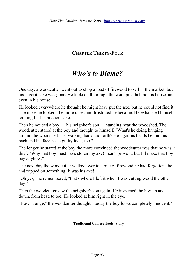#### **CHAPTER THIRTY-FOUR**

### *Who's to Blame?*

One day, a woodcutter went out to chop a load of firewood to sell in the market, but his favorite axe was gone. He looked all through the woodpile, behind his house, and even in his house.

He looked everywhere he thought he might have put the axe, but he could not find it. The more he looked, the more upset and frustrated he became. He exhausted himself looking for his precious axe.

Then he noticed a boy — his neighbor's son — standing near the woodshed. The woodcutter stared at the boy and thought to himself, "What's he doing hanging around the woodshed, just walking back and forth? He's got his hands behind his back and his face has a guilty look, too."

The longer he stared at the boy the more convinced the woodcutter was that he was a thief. "Why that boy must have stolen my axe! I can't prove it, but I'll make that boy pay anyhow."

The next day the woodcutter walked over to a pile of firewood he had forgotten about and tripped on something. It was his axe!

"Oh yes," he remembered, "that's where I left it when I was cutting wood the other day."

Then the woodcutter saw the neighbor's son again. He inspected the boy up and down, from head to toe. He looked at him right in the eye.

"How strange," the woodcutter thought, "today the boy looks completely innocent."

**- Traditional Chinese Taoist Story**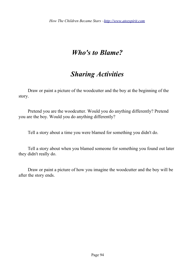### *Who's to Blame?*

### *Sharing Activities*

 $\Box$  Draw or paint a picture of the woodcutter and the boy at the beginning of the story.

□ Pretend you are the woodcutter. Would you do anything differently? Pretend you are the boy. Would you do anything differently?

 $\Box$  Tell a story about a time you were blamed for something you didn't do.

 $\Box$  Tell a story about when you blamed someone for something you found out later they didn't really do.

 $\Box$  Draw or paint a picture of how you imagine the woodcutter and the boy will be after the story ends.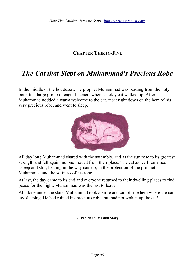### **CHAPTER THIRTY-FIVE**

### *The Cat that Slept on Muhammad's Precious Robe*

In the middle of the hot desert, the prophet Muhammad was reading from the holy book to a large group of eager listeners when a sickly cat walked up. After Muhammad nodded a warm welcome to the cat, it sat right down on the hem of his very precious robe, and went to sleep.



All day long Muhammad shared with the assembly, and as the sun rose to its greatest strength and fell again, no one moved from their place. The cat as well remained asleep and still, healing in the way cats do, in the protection of the prophet Muhammad and the softness of his robe.

At last, the day came to its end and everyone returned to their dwelling places to find peace for the night. Muhammad was the last to leave.

All alone under the stars, Muhammad took a knife and cut off the hem where the cat lay sleeping. He had ruined his precious robe, but had not woken up the cat!

**- Traditional Muslim Story**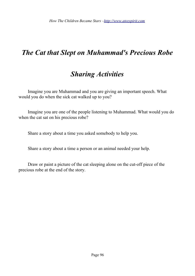### *The Cat that Slept on Muhammad's Precious Robe*

### *Sharing Activities*

**■** Imagine you are Muhammad and you are giving an important speech. What would you do when the sick cat walked up to you?

 $\Box$  Imagine you are one of the people listening to Muhammad. What would you do when the cat sat on his precious robe?

 $\Box$  Share a story about a time you asked somebody to help you.

 $\Box$  Share a story about a time a person or an animal needed your help.

 $\Box$  Draw or paint a picture of the cat sleeping alone on the cut-off piece of the precious robe at the end of the story.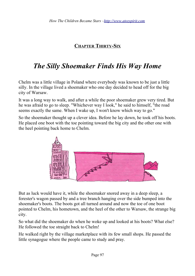**CHAPTER THIRTY-SIX**

### *The Silly Shoemaker Finds His Way Home*

Chelm was a little village in Poland where everybody was known to be just a little silly. In the village lived a shoemaker who one day decided to head off for the big city of Warsaw.

It was a long way to walk, and after a while the poor shoemaker grew very tired. But he was afraid to go to sleep. "Whichever way I look," he said to himself, "the road seems exactly the same. When I wake up, I won't know which way to go."

So the shoemaker thought up a clever idea. Before he lay down, he took off his boots. He placed one boot with the toe pointing toward the big city and the other one with the heel pointing back home to Chelm.



But as luck would have it, while the shoemaker snored away in a deep sleep, a forester's wagon passed by and a tree branch hanging over the side bumped into the shoemaker's boots. The boots got all turned around and now the toe of one boot pointed to Chelm, his hometown, and the heel of the other to Warsaw, the strange big city.

So what did the shoemaker do when he woke up and looked at his boots? What else? He followed the toe straight back to Chelm!

He walked right by the village marketplace with its few small shops. He passed the little synagogue where the people came to study and pray.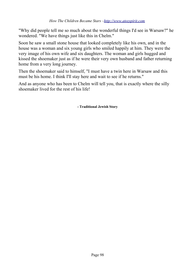"Why did people tell me so much about the wonderful things I'd see in Warsaw?" he wondered. "We have things just like this in Chelm."

Soon he saw a small stone house that looked completely like his own, and in the house was a woman and six young girls who smiled happily at him. They were the very image of his own wife and six daughters. The woman and girls hugged and kissed the shoemaker just as if he were their very own husband and father returning home from a very long journey.

Then the shoemaker said to himself, "I must have a twin here in Warsaw and this must be his home. I think I'll stay here and wait to see if he returns."

And as anyone who has been to Chelm will tell you, that is exactly where the silly shoemaker lived for the rest of his life!

**- Traditional Jewish Story**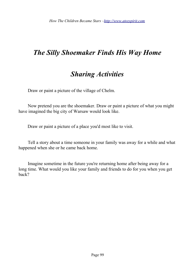### *The Silly Shoemaker Finds His Way Home*

### *Sharing Activities*

 $\Box$  Draw or paint a picture of the village of Chelm.

 $\Box$  Now pretend you are the shoemaker. Draw or paint a picture of what you might have imagined the big city of Warsaw would look like.

 $\Box$  Draw or paint a picture of a place you'd most like to visit.

 $\Box$  Tell a story about a time someone in your family was away for a while and what happened when she or he came back home.

 $\Box$  Imagine sometime in the future you're returning home after being away for a long time. What would you like your family and friends to do for you when you get back?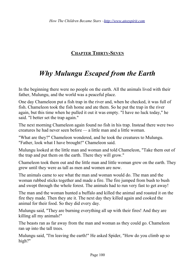**CHAPTER THIRTY-SEVEN**

### *Why Mulungu Escaped from the Earth*

In the beginning there were no people on the earth. All the animals lived with their father, Mulungu, and the world was a peaceful place.

One day Chameleon put a fish trap in the river and, when he checked, it was full of fish. Chameleon took the fish home and ate them. So he put the trap in the river again, but this time when he pulled it out it was empty. "I have no luck today," he said. "I better set the trap again."

The next morning Chameleon again found no fish in his trap. Instead there were two creatures he had never seen before *—* a little man and a little woman.

"What are they?" Chameleon wondered, and he took the creatures to Mulungu. "Father, look what I have brought!" Chameleon said.

Mulungu looked at the little man and woman and told Chameleon, "Take them out of the trap and put them on the earth. There they will grow."

Chameleon took them out and the little man and little woman grew on the earth. They grew until they were as tall as men and women are now.

The animals came to see what the man and woman would do. The man and the woman rubbed sticks together and made a fire. The fire jumped from bush to bush and swept through the whole forest. The animals had to run very fast to get away!

The man and the woman hunted a buffalo and killed the animal and roasted it on the fire they made. Then they ate it. The next day they killed again and cooked the animal for their food. So they did every day.

Mulungu said, "They are burning everything all up with their fires! And they are killing all my animals!"

The beasts ran as far away from the man and woman as they could go. Chameleon ran up into the tall trees.

Mulungu said, "I'm leaving the earth!" He asked Spider, "How do you climb up so high?"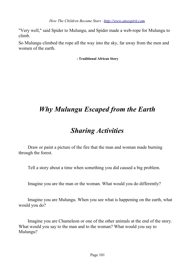"Very well," said Spider to Mulungu, and Spider made a web-rope for Mulungu to climb.

So Mulungu climbed the rope all the way into the sky, far away from the men and women of the earth.

**- Traditional African Story**

## *Why Mulungu Escaped from the Earth*

**★**

### *Sharing Activities*

 $\Box$  Draw or paint a picture of the fire that the man and woman made burning through the forest.

 $\Box$  Tell a story about a time when something you did caused a big problem.

 $\Box$  Imagine you are the man or the woman. What would you do differently?

 $\Box$  Imagine you are Mulungu. When you see what is happening on the earth, what would you do?

 $\Box$  Imagine you are Chameleon or one of the other animals at the end of the story. What would you say to the man and to the woman? What would you say to Mulungu?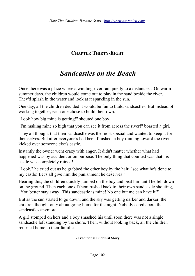### **CHAPTER THIRTY-EIGHT**

### *Sandcastles on the Beach*

Once there was a place where a winding river ran quietly to a distant sea. On warm summer days, the children would come out to play in the sand beside the river. They'd splash in the water and look at it sparkling in the sun.

One day, all the children decided it would be fun to build sandcastles. But instead of working together, each one chose to build their own.

"Look how big mine is getting!" shouted one boy.

"I'm making mine so high that you can see it from across the river!" boasted a girl.

They all thought that their sandcastle was the most special and wanted to keep it for themselves. But after everyone's had been finished, a boy running toward the river kicked over someone else's castle.

Instantly the owner went crazy with anger. It didn't matter whether what had happened was by accident or on purpose. The only thing that counted was that his castle was completely ruined!

"Look," he cried out as he grabbed the other boy by the hair, "see what he's done to my castle! Let's all give him the punishment he deserves!"

Hearing this, the children quickly jumped on the boy and beat him until he fell down on the ground. Then each one of them rushed back to their own sandcastle shouting, "You better stay away! This sandcastle is mine! No one but me can have it!"

But as the sun started to go down, and the sky was getting darker and darker, the children thought only about going home for the night. Nobody cared about the sandcastles anymore.

A girl stomped on hers and a boy smashed his until soon there was not a single sandcastle left standing by the shore. Then, without looking back, all the children returned home to their families.

#### **- Traditional Buddhist Story**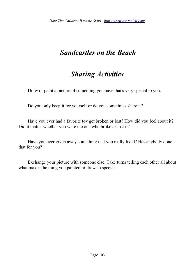## *Sandcastles on the Beach*

### *Sharing Activities*

 $\Box$  Draw or paint a picture of something you have that's very special to you.

 $\Box$  Do you only keep it for yourself or do you sometimes share it?

 $\Box$  Have you ever had a favorite toy get broken or lost? How did you feel about it? Did it matter whether you were the one who broke or lost it?

 $\Box$  Have you ever given away something that you really liked? Has anybody done that for you?

 $\Box$  Exchange your picture with someone else. Take turns telling each other all about what makes the thing you painted or drew so special.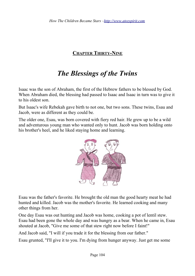### **CHAPTER THIRTY-NINE**

### *The Blessings of the Twins*

Isaac was the son of Abraham, the first of the Hebrew fathers to be blessed by God. When Abraham died, the blessing had passed to Isaac and Isaac in turn was to give it to his oldest son.

But Isaac's wife Rebekah gave birth to not one, but two sons. These twins, Esau and Jacob, were as different as they could be.

The older one, Esau, was born covered with fiery red hair. He grew up to be a wild and adventurous young man who wanted only to hunt. Jacob was born holding onto his brother's heel, and he liked staying home and learning.



Esau was the father's favorite. He brought the old man the good hearty meat he had hunted and killed. Jacob was the mother's favorite. He learned cooking and many other things from her.

One day Esau was out hunting and Jacob was home, cooking a pot of lentil stew. Esau had been gone the whole day and was hungry as a bear. When he came in, Esau shouted at Jacob, "Give me some of that stew right now before I faint!"

And Jacob said, "I will if you trade it for the blessing from our father."

Esau grunted, "I'll give it to you. I'm dying from hunger anyway. Just get me some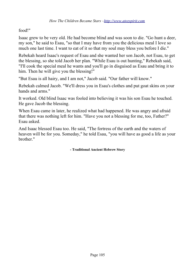#### food!"

Isaac grew to be very old. He had become blind and was soon to die. "Go hunt a deer, my son," he said to Esau, "so that I may have from you the delicious meal I love so much one last time. I want to eat of it so that my soul may bless you before I die."

Rebekah heard Isaac's request of Esau and she wanted her son Jacob, not Esau, to get the blessing, so she told Jacob her plan. "While Esau is out hunting," Rebekah said, "I'll cook the special meal he wants and you'll go in disguised as Esau and bring it to him. Then he will give you the blessing!"

"But Esau is all hairy, and I am not," Jacob said. "Our father will know."

Rebekah calmed Jacob. "We'll dress you in Esau's clothes and put goat skins on your hands and arms."

It worked. Old blind Isaac was fooled into believing it was his son Esau he touched. He gave Jacob the blessing.

When Esau came in later, he realized what had happened. He was angry and afraid that there was nothing left for him. "Have you not a blessing for me, too, Father?" Esau asked.

And Isaac blessed Esau too. He said, "The fortress of the earth and the waters of heaven will be for you. Someday," he told Esau, "you will have as good a life as your brother."

**- Traditional Ancient Hebrew Story**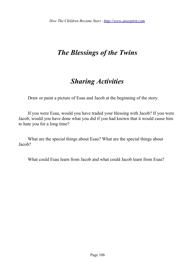# *The Blessings of the Twins*

### *Sharing Activities*

 $\Box$  Draw or paint a picture of Esau and Jacob at the beginning of the story.

 $\Box$  If you were Esau, would you have traded your blessing with Jacob? If you were Jacob, would you have done what you did if you had known that it would cause him to hate you for a long time?

 $\Box$  What are the special things about Esau? What are the special things about Jacob?

 $\Box$  What could Esau learn from Jacob and what could Jacob learn from Esau?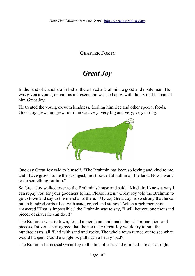#### **CHAPTER FORTY**

### *Great Joy*

In the land of Gandhara in India, there lived a Brahmin, a good and noble man. He was given a young ox-calf as a present and was so happy with the ox that he named him Great Joy.

He treated the young ox with kindness, feeding him rice and other special foods. Great Joy grew and grew, until he was very, very big and very, very strong.



One day Great Joy said to himself, "The Brahmin has been so loving and kind to me and I have grown to be the strongest, most powerful bull in all the land. Now I want to do something for him."

So Great Joy walked over to the Brahmin's house and said, "Kind sir, I know a way I can repay you for your goodness to me. Please listen." Great Joy told the Brahmin to go to town and say to the merchants there: "My ox, Great Joy, is so strong that he can pull a hundred carts filled with sand, gravel and stones." When a rich merchant answered "That is impossible," the Brahmin was to say, "I will bet you one thousand pieces of silver he can do it!"

The Brahmin went to town, found a merchant, and made the bet for one thousand pieces of silver. They agreed that the next day Great Joy would try to pull the hundred carts, all filled with sand and rocks. The whole town turned out to see what would happen. Could a single ox pull such a heavy load?

The Brahmin harnessed Great Joy to the line of carts and climbed into a seat right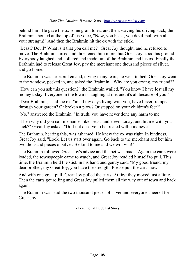behind him. He gave the ox some grain to eat and then, waving his driving stick, the Brahmin shouted at the top of his voice, "Now, you beast, you devil, pull with all your strength!" And then the Brahmin hit the ox with the stick.

"Beast? Devil? What is it that you call me?" Great Joy thought, and he refused to move. The Brahmin cursed and threatened him more, but Great Joy stood his ground. Everybody laughed and hollered and made fun of the Brahmin and his ox. Finally the Brahmin had to release Great Joy, pay the merchant one thousand pieces of silver, and go home.

The Brahmin was heartbroken and, crying many tears, he went to bed. Great Joy went to the window, peeked in, and asked the Brahmin, "Why are you crying, my friend?"

"How can you ask this question?" the Brahmin wailed. "You know I have lost all my money today. Everyone in the town is laughing at me, and it's all because of you."

"Dear Brahmin," said the ox, "in all my days living with you, have I ever tramped through your garden? Or broken a plow? Or stepped on your children's feet?"

"No," answered the Brahmin. "In truth, you have never done any harm to me."

"Then why did you call me names like 'beast' and 'devil' today, and hit me with your stick?" Great Joy asked. "Do I not deserve to be treated with kindness?"

The Brahmin, hearing this, was ashamed. He knew the ox was right. In kindness, Great Joy said, "Look. Let us start over again. Go back to the merchant and bet him two thousand pieces of silver. Be kind to me and we will win!"

The Brahmin followed Great Joy's advice and the bet was made. Again the carts were loaded, the townspeople came to watch, and Great Joy readied himself to pull. This time, the Brahmin held the stick in his hand and gently said, "My good friend, my dear brother, my Great Joy, you have the strength. Please pull the carts now."

And with one great pull, Great Joy pulled the carts. At first they moved just a little. Then the carts got rolling and Great Joy pulled them all the way out of town and back again.

The Brahmin was paid the two thousand pieces of silver and everyone cheered for Great Joy!

**- Traditional Buddhist Story**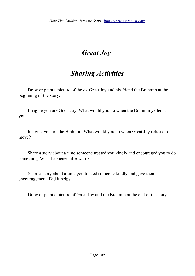**【** 

# *Great Joy*

# *Sharing Activities*

 $\Box$  Draw or paint a picture of the ox Great Joy and his friend the Brahmin at the beginning of the story.

 $\Box$  Imagine you are Great Joy. What would you do when the Brahmin yelled at you?

 $\Box$  Imagine you are the Brahmin. What would you do when Great Joy refused to move?

 $\Box$  Share a story about a time someone treated you kindly and encouraged you to do something. What happened afterward?

 $\Box$  Share a story about a time you treated someone kindly and gave them encouragement. Did it help?

 $\Box$  Draw or paint a picture of Great Joy and the Brahmin at the end of the story.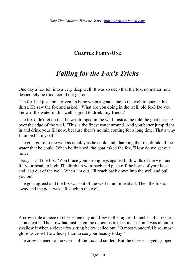**CHAPTER FORTY-ONE**

# *Falling for the Fox's Tricks*

One day a fox fell into a very deep well. It was so deep that the fox, no matter how desperately he tried, could not get out.

The fox had just about given up hope when a goat came to the well to quench his thirst. He saw the fox and asked, "What are you doing in the well, old fox? Do you know if the water in this well is good to drink, my friend?"

The fox didn't let on that he was trapped in the well. Instead he told the goat peering over the edge of the well, "This is the finest water around. And you better jump right in and drink your fill now, because there's no rain coming for a long time. That's why I jumped in myself."

The goat got into the well as quickly as he could and, thanking the fox, drank all the water that he could. When he finished, the goat asked the fox, "How do we get out now?"

"Easy," said the fox. "You brace your strong legs against both walls of the well and lift your head up high. I'll climb up your back and push off the horns of your head and leap out of the well. When I'm out, I'll reach back down into the well and pull you out."

The goat agreed and the fox was out of the well in no time at all. Then the fox ran away and the goat was left stuck in the well.

 $\Pi$   $\Pi$   $\Pi$ 

A crow stole a piece of cheese one day and flew to the highest branches of a tree to sit and eat it. The crow had just taken the delicious treat in its beak and was about to swallow it when a clever fox sitting below called out, "O most wonderful bird, most glorious crow! How lucky I am to see your beauty today!"

The crow listened to the words of the fox and smiled. But the cheese stayed gripped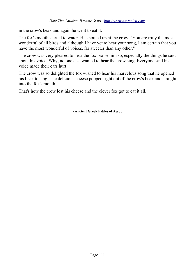in the crow's beak and again he went to eat it.

The fox's mouth started to water. He shouted up at the crow, "You are truly the most wonderful of all birds and although I have yet to hear your song, I am certain that you have the most wonderful of voices, far sweeter than any other."

The crow was very pleased to hear the fox praise him so, especially the things he said about his voice. Why, no one else wanted to hear the crow sing. Everyone said his voice made their ears hurt!

The crow was so delighted the fox wished to hear his marvelous song that he opened his beak to sing. The delicious cheese popped right out of the crow's beak and straight into the fox's mouth!

That's how the crow lost his cheese and the clever fox got to eat it all.

**- Ancient Greek Fables of Aesop**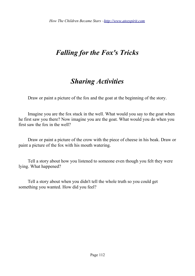# *Falling for the Fox's Tricks*

# *Sharing Activities*

 $\Box$  Draw or paint a picture of the fox and the goat at the beginning of the story.

 $\Box$  Imagine you are the fox stuck in the well. What would you say to the goat when he first saw you there? Now imagine you are the goat. What would you do when you first saw the fox in the well?

 $\Box$  Draw or paint a picture of the crow with the piece of cheese in his beak. Draw or paint a picture of the fox with his mouth watering.

 $\Box$  Tell a story about how you listened to someone even though you felt they were lying. What happened?

 $\Box$  Tell a story about when you didn't tell the whole truth so you could get something you wanted. How did you feel?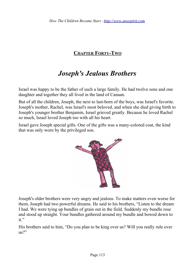### **CHAPTER FORTY-TWO**

# *Joseph's Jealous Brothers*

Israel was happy to be the father of such a large family. He had twelve sons and one daughter and together they all lived in the land of Canaan.

But of all the children, Joseph, the next to last-born of the boys, was Israel's favorite. Joseph's mother, Rachel, was Israel's most beloved, and when she died giving birth to Joseph's younger brother Benjamin, Israel grieved greatly. Because he loved Rachel so much, Israel loved Joseph too with all his heart.

Israel gave Joseph special gifts. One of the gifts was a many-colored coat, the kind that was only worn by the privileged son.



Joseph's older brothers were very angry and jealous. To make matters even worse for them, Joseph had two powerful dreams. He said to his brothers, "Listen to the dream I had. We were tying up bundles of grain out in the field. Suddenly my bundle rose and stood up straight. Your bundles gathered around my bundle and bowed down to it."

His brothers said to him, "Do you plan to be king over us? Will you really rule over us?"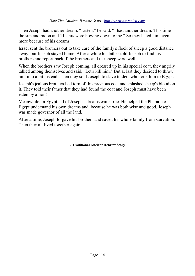Then Joseph had another dream. "Listen," he said. "I had another dream. This time the sun and moon and 11 stars were bowing down to me." So they hated him even more because of his dreams.

Israel sent the brothers out to take care of the family's flock of sheep a good distance away, but Joseph stayed home. After a while his father told Joseph to find his brothers and report back if the brothers and the sheep were well.

When the brothers saw Joseph coming, all dressed up in his special coat, they angrily talked among themselves and said, "Let's kill him." But at last they decided to throw him into a pit instead. Then they sold Joseph to slave traders who took him to Egypt.

Joseph's jealous brothers had torn off his precious coat and splashed sheep's blood on it. They told their father that they had found the coat and Joseph must have been eaten by a lion!

Meanwhile, in Egypt, all of Joseph's dreams came true. He helped the Pharaoh of Egypt understand his own dreams and, because he was both wise and good, Joseph was made governor of all the land.

After a time, Joseph forgave his brothers and saved his whole family from starvation. Then they all lived together again.

**- Traditional Ancient Hebrew Story**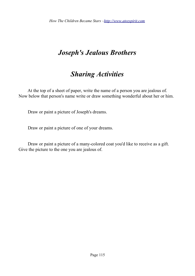# *Joseph's Jealous Brothers*

## *Sharing Activities*

 $\Box$  At the top of a sheet of paper, write the name of a person you are jealous of. Now below that person's name write or draw something wonderful about her or him.

 $\Box$  Draw or paint a picture of Joseph's dreams.

 $\Box$  Draw or paint a picture of one of your dreams.

 $\Box$  Draw or paint a picture of a many-colored coat you'd like to receive as a gift. Give the picture to the one you are jealous of.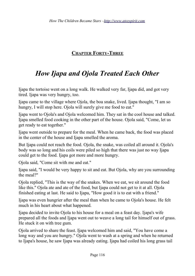**CHAPTER FORTY-THREE**

# *How Ijapa and Ojola Treated Each Other*

Ijapa the tortoise went on a long walk. He walked very far, Ijapa did, and got very tired. Ijapa was very hungry, too.

Ijapa came to the village where Ojola, the boa snake, lived. Ijapa thought, "I am so hungry, I will stop here. Ojola will surely give me food to eat."

Ijapa went to Ojola's and Ojola welcomed him. They sat in the cool house and talked. Ijapa smelled food cooking in the other part of the house. Ojola said, "Come, let us get ready to eat together."

Ijapa went outside to prepare for the meal. When he came back, the food was placed in the center of the house and Ijapa smelled the aroma.

But Ijapa could not reach the food. Ojola, the snake, was coiled all around it. Ojola's body was so long and his coils were piled so high that there was just no way Ijapa could get to the food. Ijapa got more and more hungry.

Ojola said, "Come sit with me and eat."

Ijapa said, "I would be very happy to sit and eat. But Ojola, why are you surrounding the meal?"

Ojola replied, "This is the way of the snakes. When we eat, we sit around the food like this." Ojola ate and ate of the food, but Ijapa could not get to it at all. Ojola finished eating at last. He said to Ijapa, "How good it is to eat with a friend."

Ijapa was even hungrier after the meal than when he came to Ojola's house. He felt much in his heart about what happened.

Ijapa decided to invite Ojola to his house for a meal on a feast day. Ijapa's wife prepared all the foods and Ijapa went out to weave a long tail for himself out of grass. He stuck it on with tree gum.

Ojola arrived to share the feast. Ijapa welcomed him and said, "You have come a long way and you are hungry." Ojola went to wash at a spring and when he returned to Ijapa's house, he saw Ijapa was already eating. Ijapa had coiled his long grass tail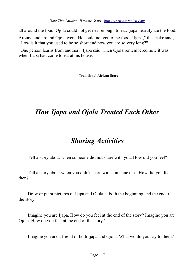all around the food. Ojola could not get near enough to eat. Ijapa heartily ate the food.

Around and around Ojola went. He could not get to the food. "Ijapa," the snake said, "How is it that you used to be so short and now you are so very long?"

"One person learns from another," Ijapa said. Then Ojola remembered how it was when Ijapa had come to eat at his house.

**- Traditional African Story**

# *How Ijapa and Ojola Treated Each Other*

# *Sharing Activities*

 $\Box$  Tell a story about when someone did not share with you. How did you feel?

 $\Box$  Tell a story about when you didn't share with someone else. How did you feel then?

 $\Box$  Draw or paint pictures of Ijapa and Ojola at both the beginning and the end of the story.

 $\Box$  Imagine you are Ijapa. How do you feel at the end of the story? Imagine you are Ojola. How do you feel at the end of the story?

 $\Box$  Imagine you are a friend of both Ijapa and Ojola. What would you say to them?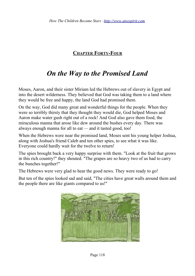**CHAPTER FORTY-FOUR**

# *On the Way to the Promised Land*

Moses, Aaron, and their sister Miriam led the Hebrews out of slavery in Egypt and into the desert wilderness. They believed that God was taking them to a land where they would be free and happy, the land God had promised them.

On the way, God did many great and wonderful things for the people. When they were so terribly thirsty that they thought they would die, God helped Moses and Aaron make water gush right out of a rock! And God also gave them food, the miraculous manna that arose like dew around the bushes every day. There was always enough manna for all to eat *—* and it tasted good, too!

When the Hebrews were near the promised land, Moses sent his young helper Joshua, along with Joshua's friend Caleb and ten other spies, to see what it was like. Everyone could hardly wait for the twelve to return!

The spies brought back a very happy surprise with them. "Look at the fruit that grows in this rich country!" they shouted. "The grapes are so heavy two of us had to carry the bunches together!"

The Hebrews were very glad to hear the good news. They were ready to go!

But ten of the spies looked sad and said, "The cities have great walls around them and the people there are like giants compared to us!"

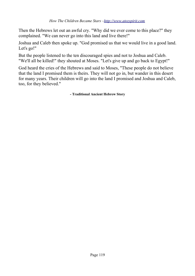Then the Hebrews let out an awful cry. "Why did we ever come to this place?" they complained. "We can never go into this land and live there!"

Joshua and Caleb then spoke up. "God promised us that we would live in a good land. Let's go!"

But the people listened to the ten discouraged spies and not to Joshua and Caleb. "We'll all be killed!" they shouted at Moses. "Let's give up and go back to Egypt!"

God heard the cries of the Hebrews and said to Moses, "These people do not believe that the land I promised them is theirs. They will not go in, but wander in this desert for many years. Their children will go into the land I promised and Joshua and Caleb, too, for they believed."

**- Traditional Ancient Hebrew Story**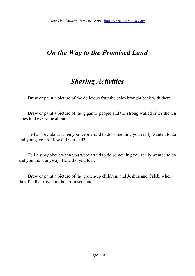**【** 

# *On the Way to the Promised Land*

# *Sharing Activities*

 $\Box$  Draw or paint a picture of the delicious fruit the spies brought back with them.

 $\Box$  Draw or paint a picture of the gigantic people and the strong walled cities the ten spies told everyone about.

 $\Box$  Tell a story about when you were afraid to do something you really wanted to do and you gave up. How did you feel?

 $\Box$  Tell a story about when you were afraid to do something you really wanted to do and you did it anyway. How did you feel?

 $\Box$  Draw or paint a picture of the grown-up children, and Joshua and Caleb, when they finally arrived in the promised land.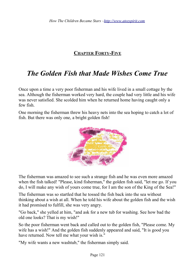### **CHAPTER FORTY-FIVE**

# *The Golden Fish that Made Wishes Come True*

Once upon a time a very poor fisherman and his wife lived in a small cottage by the sea. Although the fisherman worked very hard, the couple had very little and his wife was never satisfied. She scolded him when he returned home having caught only a few fish.

One morning the fisherman threw his heavy nets into the sea hoping to catch a lot of fish. But there was only one, a bright golden fish!



The fisherman was amazed to see such a strange fish and he was even more amazed when the fish talked! "Please, kind fisherman," the golden fish said, "let me go. If you do, I will make any wish of yours come true, for I am the son of the King of the Sea!"

The fisherman was so startled that he tossed the fish back into the sea without thinking about a wish at all. When he told his wife about the golden fish and the wish it had promised to fulfill, she was very angry.

"Go back," she yelled at him, "and ask for a new tub for washing. See how bad the old one looks? That is my wish!"

So the poor fisherman went back and called out to the golden fish, "Please come. My wife has a wish!" And the golden fish suddenly appeared and said, "It is good you have returned. Now tell me what your wish is."

"My wife wants a new washtub," the fisherman simply said.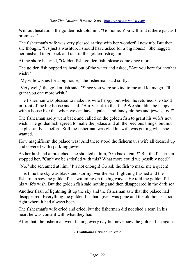Without hesitation, the golden fish told him, "Go home. You will find it there just as I promised."

The fisherman's wife was very pleased at first with her wonderful new tub. But then she thought, "It's just a washtub. I should have asked for a big house!" She nagged her husband to go back and talk to the golden fish again.

At the shore he cried, "Golden fish, golden fish, please come once more."

The golden fish popped its head out of the water and asked, "Are you here for another wish?"

"My wife wishes for a big house," the fisherman said softly.

"Very well," the golden fish said. "Since you were so kind to me and let me go, I'll grant you one more wish."

The fisherman was pleased to make his wife happy, but when he returned she stood in front of the big house and said, "Hurry back to that fish! We shouldn't be happy with a house like this when we can have a palace and fancy clothes and jewels, too!"

The fisherman sadly went back and called on the golden fish to grant his wife's new wish. The golden fish agreed to make the palace and all the precious things, but not so pleasantly as before. Still the fisherman was glad his wife was getting what she wanted.

How magnificent the palace was! And there stood the fisherman's wife all dressed up and covered with sparkling jewels!

As her husband approached, she shouted at him, "Go back again!" But the fisherman stopped her. "Can't we be satisfied with this? What more could we possibly need?"

"No," she screamed at him, "It's not enough! Go ask the fish to make me a queen!"

This time the sky was black and stormy over the sea. Lightning flashed and the fisherman saw the golden fish swimming on the big waves. He told the golden fish his wife's wish. But the golden fish said nothing and then disappeared in the dark sea.

Another flash of lightning lit up the sky and the fisherman saw that the palace had disappeared. Everything the golden fish had given was gone and the old house stood right where it had always been.

The fisherman's wife cried and cried, but the fisherman did not shed a tear. In his heart he was content with what they had.

After that, the fisherman went fishing every day but never saw the golden fish again.

#### **- Traditional German Folktale**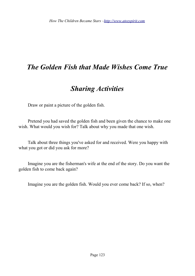# *The Golden Fish that Made Wishes Come True*

# *Sharing Activities*

 $\Box$  Draw or paint a picture of the golden fish.

 $\Box$  Pretend you had saved the golden fish and been given the chance to make one wish. What would you wish for? Talk about why you made that one wish.

 $\Box$  Talk about three things you've asked for and received. Were you happy with what you got or did you ask for more?

 $\Box$  Imagine you are the fisherman's wife at the end of the story. Do you want the golden fish to come back again?

□ Imagine you are the golden fish. Would you ever come back? If so, when?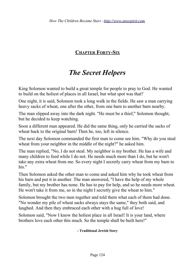#### **CHAPTER FORTY-SIX**

# *The Secret Helpers*

King Solomon wanted to build a great temple for people to pray to God. He wanted to build on the holiest of places in all Israel, but what spot was that?

One night, it is said, Solomon took a long walk in the fields. He saw a man carrying heavy sacks of wheat, one after the other, from one barn to another barn nearby.

The man slipped away into the dark night. "He must be a thief," Solomon thought, but he decided to keep watching.

Soon a different man appeared. He did the same thing, only he carried the sacks of wheat back to the original barn! Then he, too, left in silence.

The next day Solomon commanded the first man to come see him. "Why do you steal wheat from your neighbor in the middle of the night?" he asked him.

The man replied, "No, I do not steal. My neighbor is my brother. He has a wife and many children to feed while I do not. He needs much more than I do, but he won't take any extra wheat from me. So every night I secretly carry wheat from my barn to his."

Then Solomon asked the other man to come and asked him why he took wheat from his barn and put it in another. The man answered, "I have the help of my whole family, but my brother has none. He has to pay for help, and so he needs more wheat. He won't take it from me, so in the night I secretly give the wheat to him."

Solomon brought the two men together and told them what each of them had done. "No wonder my pile of wheat sacks always stays the same," they both said, and laughed. And then they embraced each other with a hug full of love!

Solomon said, "Now I know the holiest place in all Israel! It is your land, where brothers love each other this much. So the temple shall be built here!"

#### **- Traditional Jewish Story**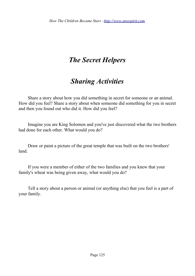# *The Secret Helpers*

# *Sharing Activities*

 $\Box$  Share a story about how you did something in secret for someone or an animal. How did you feel? Share a story about when someone did something for you in secret and then you found out who did it. How did you feel?

 $\Box$  Imagine you are King Solomon and you've just discovered what the two brothers had done for each other. What would you do?

 $\Box$  Draw or paint a picture of the great temple that was built on the two brothers' land.

 $\Box$  If you were a member of either of the two families and you knew that your family's wheat was being given away, what would you do?

 $\Box$  Tell a story about a person or animal (or anything else) that you feel is a part of your family.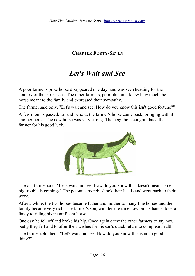### **CHAPTER FORTY-SEVEN**

# *Let's Wait and See*

A poor farmer's prize horse disappeared one day, and was seen heading for the country of the barbarians. The other farmers, poor like him, knew how much the horse meant to the family and expressed their sympathy.

The farmer said only, "Let's wait and see. How do you know this isn't good fortune?"

A few months passed. Lo and behold, the farmer's horse came back, bringing with it another horse. The new horse was very strong. The neighbors congratulated the farmer for his good luck.



The old farmer said, "Let's wait and see. How do you know this doesn't mean some big trouble is coming?" The peasants merely shook their heads and went back to their work.

After a while, the two horses became father and mother to many fine horses and the family became very rich. The farmer's son, with leisure time now on his hands, took a fancy to riding his magnificent horse.

One day he fell off and broke his hip. Once again came the other farmers to say how badly they felt and to offer their wishes for his son's quick return to complete health.

The farmer told them, "Let's wait and see. How do you know this is not a good thing?"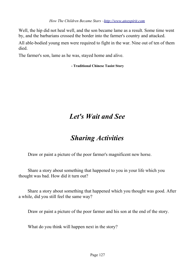Well, the hip did not heal well, and the son became lame as a result. Some time went by, and the barbarians crossed the border into the farmer's country and attacked.

All able-bodied young men were required to fight in the war. Nine out of ten of them died.

The farmer's son, lame as he was, stayed home and alive.

**- Traditional Chinese Taoist Story**

**★**

# *Let's Wait and See*

# *Sharing Activities*

 $\Box$  Draw or paint a picture of the poor farmer's magnificent new horse.

 $\Box$  Share a story about something that happened to you in your life which you thought was bad. How did it turn out?

 $\Box$  Share a story about something that happened which you thought was good. After a while, did you still feel the same way?

 $\Box$  Draw or paint a picture of the poor farmer and his son at the end of the story.

What do you think will happen next in the story?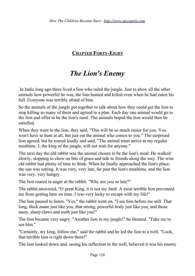#### **CHAPTER FORTY-EIGHT**

## *The Lion's Enemy*

 In India long ago there lived a lion who ruled the jungle. Just to show all the other animals how powerful he was, the lion hunted and killed even when he had eaten his full. Everyone was terribly afraid of him.

So the animals of the jungle got together to talk about how they could get the lion to stop killing so many of them and agreed to a plan. Each day one animal would go to the lion and offer to be the lion's meal. The animals hoped the lion would then be satisfied.

When they went to the lion, they said, "This will be so much easier for you. You won't have to hunt at all, but just eat the animal who comes to you." The surprised lion agreed, but he roared loudly and said, "The animal must arrive at my regular mealtime. I, the king of the jungle, will not wait for anyone."

The next day the old rabbit was the animal chosen to be the lion's meal. He walked slowly, stopping to chew on bits of grass and talk to friends along the way. The wise old rabbit had plenty of time to think. When he finally approached the lion's place, the sun was setting. It was very, very late, far past the lion's mealtime, and the lion was very, very hungry.

The lion roared in anger at the rabbit. "Why are you so late?"

The rabbit answered, "O great King, it is not my fault. A most terrible lion prevented me from getting here on time. I was very lucky to escape with my life!"

The lion paused to listen. "Yes," the rabbit went on, "I see him before me still. That long, thick mane just like you, that strong, powerful body just like you, and those nasty, sharp claws and teeth just like you!"

The lion became very angry. "Another lion in my jungle!" he shouted. "Take me to see him."

"Certainly, my king, follow me," said the rabbit and he led the lion to a well. "Look, that terrible lion is right down there!"

The lion looked down and, seeing his reflection in the well, believed it was his enemy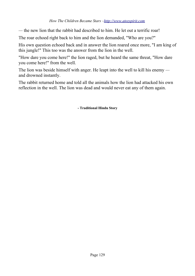*—* the new lion that the rabbit had described to him. He let out a terrific roar!

The roar echoed right back to him and the lion demanded, "Who are you?"

His own question echoed back and in answer the lion roared once more, "I am king of this jungle!" This too was the answer from the lion in the well.

"How dare you come here!" the lion raged, but he heard the same threat, "How dare you come here!" from the well.

The lion was beside himself with anger. He leapt into the well to kill his enemy  and drowned instantly.

The rabbit returned home and told all the animals how the lion had attacked his own reflection in the well. The lion was dead and would never eat any of them again.

**- Traditional Hindu Story**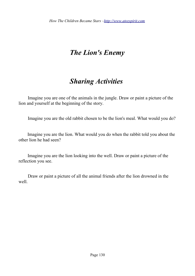#### **【**

# *The Lion's Enemy*

# *Sharing Activities*

 $\Box$  Imagine you are one of the animals in the jungle. Draw or paint a picture of the lion and yourself at the beginning of the story.

 $\Box$  Imagine you are the old rabbit chosen to be the lion's meal. What would you do?

 $\Box$  Imagine you are the lion. What would you do when the rabbit told you about the other lion he had seen?

 $\Box$  Imagine you are the lion looking into the well. Draw or paint a picture of the reflection you see.

 $\Box$  Draw or paint a picture of all the animal friends after the lion drowned in the well.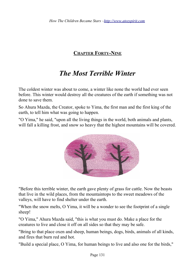### **CHAPTER FORTY-NINE**

# *The Most Terrible Winter*

The coldest winter was about to come, a winter like none the world had ever seen before. This winter would destroy all the creatures of the earth if something was not done to save them.

So Ahura Mazda, the Creator, spoke to Yima, the first man and the first king of the earth, to tell him what was going to happen.

"O Yima," he said, "upon all the living things in the world, both animals and plants, will fall a killing frost, and snow so heavy that the highest mountains will be covered.



"Before this terrible winter, the earth gave plenty of grass for cattle. Now the beasts that live in the wild places, from the mountaintops to the sweet meadows of the valleys, will have to find shelter under the earth.

"When the snow melts, O Yima, it will be a wonder to see the footprint of a single sheep!

"O Yima," Ahura Mazda said, "this is what you must do. Make a place for the creatures to live and close it off on all sides so that they may be safe.

"Bring to that place oxen and sheep, human beings, dogs, birds, animals of all kinds, and fires that burn red and hot.

"Build a special place, O Yima, for human beings to live and also one for the birds,"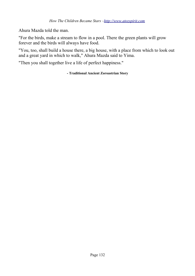Ahura Mazda told the man.

"For the birds, make a stream to flow in a pool. There the green plants will grow forever and the birds will always have food.

"You, too, shall build a house there, a big house, with a place from which to look out and a great yard in which to walk," Ahura Mazda said to Yima.

"Then you shall together live a life of perfect happiness."

#### **- Traditional Ancient Zoroastrian Story**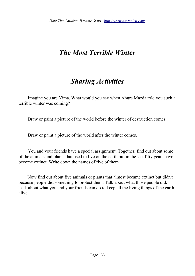# *The Most Terrible Winter*

# *Sharing Activities*

 $\Box$  Imagine you are Yima. What would you say when Ahura Mazda told you such a terrible winter was coming?

 $\Box$  Draw or paint a picture of the world before the winter of destruction comes.

 $\Box$  Draw or paint a picture of the world after the winter comes.

 $\Box$  You and your friends have a special assignment. Together, find out about some of the animals and plants that used to live on the earth but in the last fifty years have become extinct. Write down the names of five of them.

 $\Box$  Now find out about five animals or plants that almost became extinct but didn't because people did something to protect them. Talk about what those people did. Talk about what you and your friends can do to keep all the living things of the earth alive.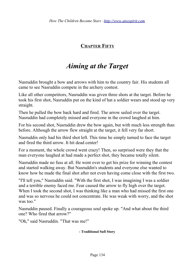### **CHAPTER FIFTY**

# *Aiming at the Target*

Nasruddin brought a bow and arrows with him to the country fair. His students all came to see Nasruddin compete in the archery contest.

Like all other competitors, Nasruddin was given three shots at the target. Before he took his first shot, Nasruddin put on the kind of hat a soldier wears and stood up very straight.

Then he pulled the bow back hard and fired. The arrow sailed over the target. Nasruddin had completely missed and everyone in the crowd laughed at him.

For his second shot, Nasruddin drew the bow again, but with much less strength than before. Although the arrow flew straight at the target, it fell very far short.

Nasruddin only had his third shot left. This time he simply turned to face the target and fired the third arrow. It hit dead center!

For a moment, the whole crowd went crazy! Then, so surprised were they that the man everyone laughed at had made a perfect shot, they became totally silent.

Nasruddin made no fuss at all. He went over to get his prize for winning the contest and started walking away. But Nasruddin's students and everyone else wanted to know how he made the final shot after not even having come close with the first two.

"I'll tell you," Nasruddin said. "With the first shot, I was imagining I was a soldier and a terrible enemy faced me. Fear caused the arrow to fly high over the target. When I took the second shot, I was thinking like a man who had missed the first one and was so nervous he could not concentrate. He was weak with worry, and the shot was too."

Nasruddin paused. Finally a courageous soul spoke up. "And what about the third one? Who fired that arrow?"

"Oh," said Nasruddin. "That was me!"

#### **- Traditional Sufi Story**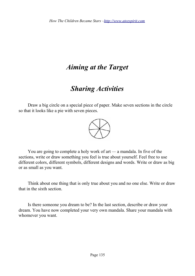# *Aiming at the Target*

# *Sharing Activities*

 $\Box$  Draw a big circle on a special piece of paper. Make seven sections in the circle so that it looks like a pie with seven pieces.



■ You are going to complete a holy work of art — a mandala. In five of the sections, write or draw something you feel is true about yourself. Feel free to use different colors, different symbols, different designs and words. Write or draw as big or as small as you want.

 $\Box$  Think about one thing that is only true about you and no one else. Write or draw that in the sixth section.

 $\Box$  Is there someone you dream to be? In the last section, describe or draw your dream. You have now completed your very own mandala. Share your mandala with whomever you want.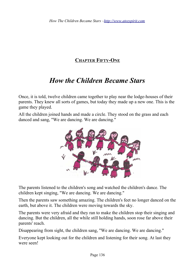### **CHAPTER FIFTY-ONE**

# *How the Children Became Stars*

Once, it is told, twelve children came together to play near the lodge-houses of their parents. They knew all sorts of games, but today they made up a new one. This is the game they played.

All the children joined hands and made a circle. They stood on the grass and each danced and sang, "We are dancing. We are dancing."



The parents listened to the children's song and watched the children's dance. The children kept singing, "We are dancing. We are dancing."

Then the parents saw something amazing. The children's feet no longer danced on the earth, but above it. The children were moving towards the sky.

The parents were very afraid and they ran to make the children stop their singing and dancing. But the children, all the while still holding hands, soon rose far above their parents' reach.

Disappearing from sight, the children sang, "We are dancing. We are dancing."

Everyone kept looking out for the children and listening for their song. At last they were seen!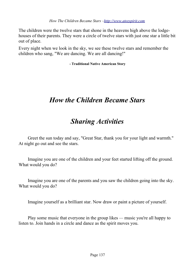The children were the twelve stars that shone in the heavens high above the lodgehouses of their parents. They were a circle of twelve stars with just one star a little bit out of place.

Every night when we look in the sky, we see these twelve stars and remember the children who sang, "We are dancing. We are all dancing!"

**- Traditional Native American Story**

# **★**

## *How the Children Became Stars*

# *Sharing Activities*

Greet the sun today and say, "Great Star, thank you for your light and warmth." At night go out and see the stars.

 $\Box$  Imagine you are one of the children and your feet started lifting off the ground. What would you do?

 $\Box$  Imagine you are one of the parents and you saw the children going into the sky. What would you do?

 $\Box$  Imagine yourself as a brilliant star. Now draw or paint a picture of yourself.

■ Play some music that everyone in the group likes — music you're all happy to listen to. Join hands in a circle and dance as the spirit moves you.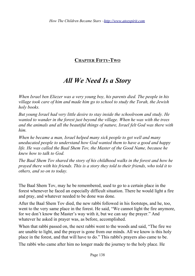### **CHAPTER FIFTY-TWO**

# *All We Need Is a Story*

*When Israel ben Eliezer was a very young boy, his parents died. The people in his village took care of him and made him go to school to study the Torah, the Jewish holy books.*

*But young Israel had very little desire to stay inside the schoolroom and study. He wanted to wander in the forest just beyond the village. When he was with the trees and the animals and all the beautiful things of nature, Israel felt God was there with him.*

*When he became a man, Israel helped many sick people to get well and many uneducated people to understand how God wanted them to have a good and happy life. He was called the Baal Shem Tov, the Master of the Good Name, because he knew how to talk to God.*

*The Baal Shem Tov shared the story of his childhood walks in the forest and how he prayed there with his friends. This is a story they told to their friends, who told it to others, and so on to today.*

The Baal Shem Tov, may he be remembered, used to go to a certain place in the forest whenever he faced an especially difficult situation. There he would light a fire and pray, and whatever needed to be done was done.

After the Baal Shem Tov died, the new rabbi followed in his footsteps, and he, too, went to the very same place in the forest. He said, "We cannot light the fire anymore, for we don't know the Master's way with it, but we can say the prayer." And whatever he asked in prayer was, as before, accomplished.

When that rabbi passed on, the next rabbi went to the woods and said, "The fire we are unable to light, and the prayer is gone from our minds. All we know is this holy place in the forest, and that will have to do." This rabbi's prayers also came to be.

The rabbi who came after him no longer made the journey to the holy place. He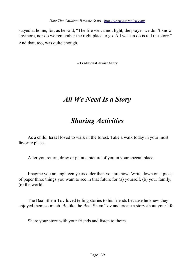stayed at home, for, as he said, "The fire we cannot light, the prayer we don't know anymore, nor do we remember the right place to go. All we can do is tell the story." And that, too, was quite enough.

**- Traditional Jewish Story**

# *All We Need Is a Story*

# *Sharing Activities*

 $\Box$  As a child, Israel loved to walk in the forest. Take a walk today in your most favorite place.

 $\Box$  After you return, draw or paint a picture of you in your special place.

 $\Box$  Imagine you are eighteen years older than you are now. Write down on a piece of paper three things you want to see in that future for (a) yourself, (b) your family, (c) the world.

 $\Box$  The Baal Shem Tov loved telling stories to his friends because he knew they enjoyed them so much. Be like the Baal Shem Tov and create a story about your life.

 $\Box$  Share your story with your friends and listen to theirs.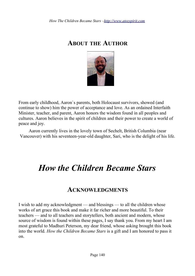

### **ABOUT THE AUTHOR**



From early childhood, Aaron`s parents, both Holocaust survivors, showed (and continue to show) him the power of acceptance and love. As an ordained Interfaith Minister, teacher, and parent, Aaron honors the wisdom found in all peoples and cultures. Aaron believes in the spirit of children and their power to create a world of peace and joy.

Aaron currently lives in the lovely town of Sechelt, British Columbia (near Vancouver) with his seventeen-year-old daughter, Sari, who is the delight of his life.



**★ ★ ★**

### **ACKNOWLEDGMENTS**

I wish to add my acknowledgment — and blessings — to all the children whose works of art grace this book and make it far richer and more beautiful. To their teachers — and to all teachers and storytellers, both ancient and modern, whose source of wisdom is found within these pages, I say thank you. From my heart I am most grateful to Madhuri Peterson, my dear friend, whose asking brought this book into the world. *How the Children Became Stars* is a gift and I am honored to pass it on.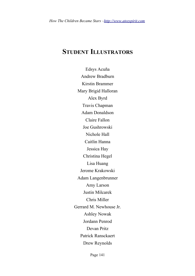### **STUDENT ILLUSTRATORS**

Edsys Acuña Andrew Bradburn Kirstin Brammer Mary Brigid Halloran Alex Byrd Travis Chapman Adam Donaldson Claire Fallon Joe Gushrowski Nichole Hall Caitlin Hanna Jessica Hay Christina Hegel Lisa Huang Jerome Krakowski Adam Langenbrunner Amy Larson Justin Milcarek Chris Miller Gerrard M. Newhouse Jr. Ashley Nowak Jordann Penrod Devan Pritz Patrick Ransckaert Drew Reynolds